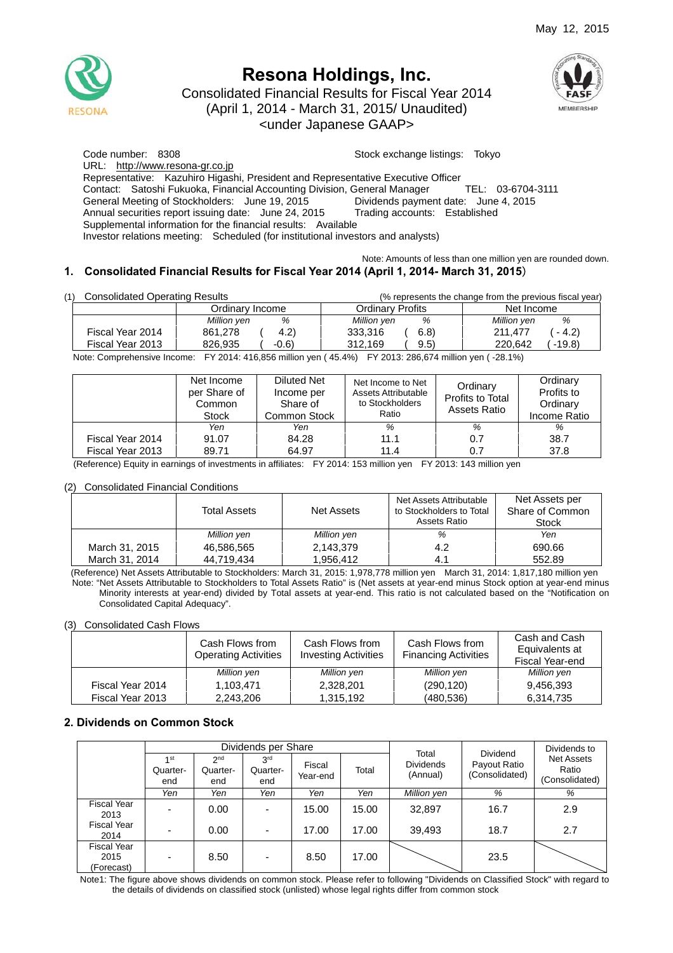

# **Resona Holdings, Inc.**

Consolidated Financial Results for Fiscal Year 2014

(April 1, 2014 - March 31, 2015/ Unaudited)

<under Japanese GAAP>



Code number: 8308 Stock exchange listings: Tokyo URL: http://www.resona-gr.co.jp Representative: Kazuhiro Higashi, President and Representative Executive Officer Contact: Satoshi Fukuoka, Financial Accounting Division, General Manager TEL: 03-6704-3111 General Meeting of Stockholders: June 19, 2015 Dividends payment date: June 4, 2015 Annual securities report issuing date: June 24, 2015 Trading accounts: Established Supplemental information for the financial results: Available Investor relations meeting: Scheduled (for institutional investors and analysts)

## Note: Amounts of less than one million yen are rounded down.

## **1. Consolidated Financial Results for Fiscal Year 2014 (April 1, 2014- March 31, 2015**)

| (1) | <b>Consolidated Operating Results</b> |                                                                                                                                                                                                                                                                                                               | (% represents the change from the previous fiscal year) |                    |  |
|-----|---------------------------------------|---------------------------------------------------------------------------------------------------------------------------------------------------------------------------------------------------------------------------------------------------------------------------------------------------------------|---------------------------------------------------------|--------------------|--|
|     |                                       | Ordinarv Income                                                                                                                                                                                                                                                                                               | <b>Ordinary Profits</b>                                 | Net Income         |  |
|     |                                       | %<br>Million yen                                                                                                                                                                                                                                                                                              | %<br>Million yen                                        | %<br>Million yen   |  |
|     | Fiscal Year 2014                      | (4.2)<br>861.278                                                                                                                                                                                                                                                                                              | 6.8)<br>333.316                                         | 211.477<br>$-4.2$  |  |
|     | Fiscal Year 2013                      | 826.935<br>$-0.6$                                                                                                                                                                                                                                                                                             | 312.169<br>9.5)                                         | $-19.8$<br>220.642 |  |
|     |                                       | $\mathbf{M}$ , $\mathbf{A}$ , and $\mathbf{A}$ , $\mathbf{A}$ , $\mathbf{A}$ , $\mathbf{A}$ , $\mathbf{A}$ , $\mathbf{A}$ , $\mathbf{A}$ , $\mathbf{A}$ , $\mathbf{A}$ , $\mathbf{A}$ , $\mathbf{A}$ , $\mathbf{A}$ , $\mathbf{A}$ , $\mathbf{A}$ , $\mathbf{A}$ , $\mathbf{A}$ , $\mathbf{A}$ , $\mathbf{A}$ |                                                         |                    |  |

Note: Comprehensive Income: FY 2014: 416,856 million yen ( 45.4%) FY 2013: 286,674 million yen ( -28.1%)

|                  | Net Income<br>per Share of<br>Common<br><b>Stock</b> | Diluted Net<br>Income per<br>Share of<br>Common Stock | Net Income to Net<br>Assets Attributable<br>to Stockholders<br>Ratio | Ordinary<br>Profits to Total<br>Assets Ratio | Ordinary<br>Profits to<br>Ordinary<br>Income Ratio |
|------------------|------------------------------------------------------|-------------------------------------------------------|----------------------------------------------------------------------|----------------------------------------------|----------------------------------------------------|
|                  | Yen                                                  | Yen                                                   | %                                                                    | %                                            | %                                                  |
| Fiscal Year 2014 | 91.07                                                | 84.28                                                 | 11.1                                                                 | 0.7                                          | 38.7                                               |
| Fiscal Year 2013 | 89.71                                                | 64.97                                                 | 11.4                                                                 | 0.7                                          | 37.8                                               |

(Reference) Equity in earnings of investments in affiliates: FY 2014: 153 million yen FY 2013: 143 million yen

#### (2) Consolidated Financial Conditions

|                | Total Assets | Net Assets  | Net Assets Attributable<br>to Stockholders to Total<br>Assets Ratio | Net Assets per<br>Share of Common<br>Stock |
|----------------|--------------|-------------|---------------------------------------------------------------------|--------------------------------------------|
|                | Million yen  | Million yen | %                                                                   | Yen                                        |
| March 31, 2015 | 46.586.565   | 2,143,379   | 4.2                                                                 | 690.66                                     |
| March 31, 2014 | 44.719.434   | 1.956.412   | 4.1                                                                 | 552.89                                     |

(Reference) Net Assets Attributable to Stockholders: March 31, 2015: 1,978,778 million yen March 31, 2014: 1,817,180 million yen Note: "Net Assets Attributable to Stockholders to Total Assets Ratio" is (Net assets at year-end minus Stock option at year-end minus Minority interests at year-end) divided by Total assets at year-end. This ratio is not calculated based on the "Notification on Consolidated Capital Adequacy".

#### (3) Consolidated Cash Flows

|                  | Cash Flows from<br><b>Operating Activities</b> | Cash Flows from<br><b>Investing Activities</b> | Cash Flows from<br><b>Financing Activities</b> | Cash and Cash<br>Equivalents at<br>Fiscal Year-end |
|------------------|------------------------------------------------|------------------------------------------------|------------------------------------------------|----------------------------------------------------|
|                  | Million yen                                    | Million yen                                    | Million yen                                    | Million yen                                        |
| Fiscal Year 2014 | 1.103.471                                      | 2,328,201                                      | (290, 120)                                     | 9,456,393                                          |
| Fiscal Year 2013 | 2.243.206                                      | 1,315,192                                      | (480,536)                                      | 6.314.735                                          |

#### **2. Dividends on Common Stock**

|                                          | Dividends per Share                |                                    |                                    |                    | Total | <b>Dividend</b>              | Dividends to                   |                                              |
|------------------------------------------|------------------------------------|------------------------------------|------------------------------------|--------------------|-------|------------------------------|--------------------------------|----------------------------------------------|
|                                          | 4 <sub>st</sub><br>Quarter-<br>end | 2 <sub>nd</sub><br>Quarter-<br>end | 3 <sup>rd</sup><br>Quarter-<br>end | Fiscal<br>Year-end | Total | <b>Dividends</b><br>(Annual) | Payout Ratio<br>(Consolidated) | <b>Net Assets</b><br>Ratio<br>(Consolidated) |
|                                          | Yen                                | Yen                                | Yen                                | Yen                | Yen   | Million yen                  | %                              | %                                            |
| <b>Fiscal Year</b><br>2013               |                                    | 0.00                               | $\overline{\phantom{a}}$           | 15.00              | 15.00 | 32,897                       | 16.7                           | 2.9                                          |
| <b>Fiscal Year</b><br>2014               |                                    | 0.00                               | $\overline{\phantom{0}}$           | 17.00              | 17.00 | 39,493                       | 18.7                           | 2.7                                          |
| <b>Fiscal Year</b><br>2015<br>(Forecast) |                                    | 8.50                               | ٠                                  | 8.50               | 17.00 |                              | 23.5                           |                                              |

Note1: The figure above shows dividends on common stock. Please refer to following "Dividends on Classified Stock" with regard to the details of dividends on classified stock (unlisted) whose legal rights differ from common stock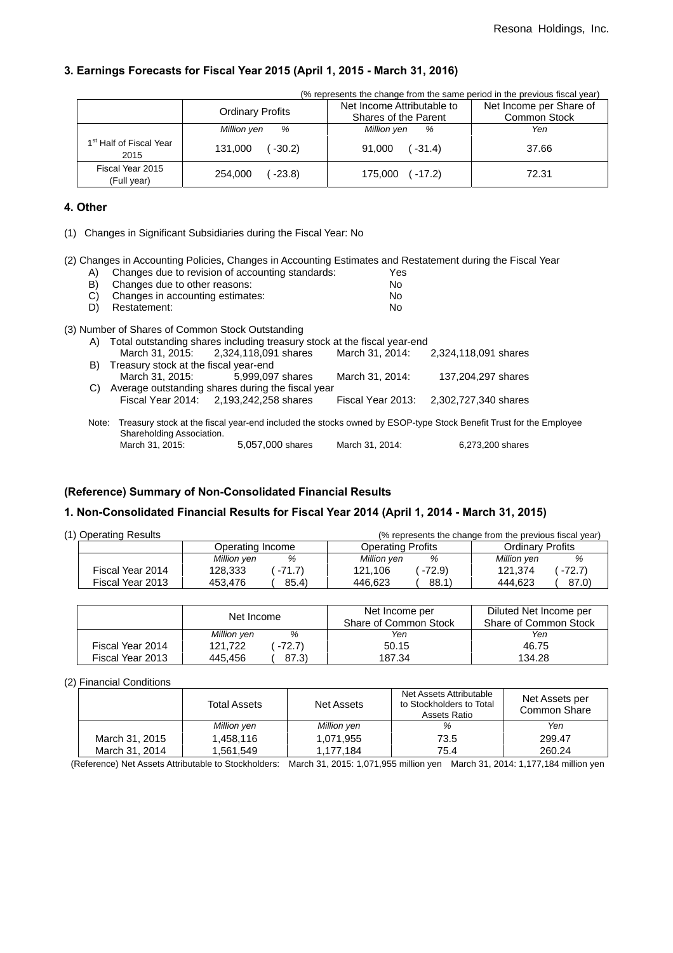## **3. Earnings Forecasts for Fiscal Year 2015 (April 1, 2015 - March 31, 2016)**

|                                             |                         | (% represents the change from the same period in the previous fiscal year) |                                         |  |
|---------------------------------------------|-------------------------|----------------------------------------------------------------------------|-----------------------------------------|--|
|                                             | <b>Ordinary Profits</b> | Net Income Attributable to<br>Shares of the Parent                         | Net Income per Share of<br>Common Stock |  |
|                                             | %<br>Million yen        | Million yen<br>%                                                           | Yen                                     |  |
| 1 <sup>st</sup> Half of Fiscal Year<br>2015 | $-30.2$<br>131.000      | $91,000$ $(-31.4)$                                                         | 37.66                                   |  |
| Fiscal Year 2015<br>(Full year)             | $-23.8$<br>254.000      | $(-17.2)$<br>175,000                                                       | 72.31                                   |  |

## **4. Other**

(1) Changes in Significant Subsidiaries during the Fiscal Year: No

(2) Changes in Accounting Policies, Changes in Accounting Estimates and Restatement during the Fiscal Year

| A)    | Changes due to revision of accounting standards:                                                                  | Yes               |                      |  |
|-------|-------------------------------------------------------------------------------------------------------------------|-------------------|----------------------|--|
| B)    | Changes due to other reasons:                                                                                     | No.               |                      |  |
| C)    | Changes in accounting estimates:                                                                                  | No.               |                      |  |
| D)    | Restatement:                                                                                                      | No.               |                      |  |
|       | (3) Number of Shares of Common Stock Outstanding                                                                  |                   |                      |  |
|       | A) Total outstanding shares including treasury stock at the fiscal year-end                                       |                   |                      |  |
|       | March 31, 2015: 2.324.118.091 shares                                                                              | March 31, 2014:   | 2,324,118,091 shares |  |
| B)    | Treasury stock at the fiscal year-end                                                                             |                   |                      |  |
|       | March 31, 2015:<br>5.999.097 shares                                                                               | March 31, 2014:   | 137.204.297 shares   |  |
| C)    | Average outstanding shares during the fiscal year                                                                 |                   |                      |  |
|       | Fiscal Year 2014: 2,193,242,258 shares                                                                            | Fiscal Year 2013: | 2,302,727,340 shares |  |
| Note: | Treasury stock at the fiscal year-end included the stocks owned by ESOP-type Stock Benefit Trust for the Employee |                   |                      |  |
|       | Shareholding Association.                                                                                         |                   |                      |  |
|       | 5,057,000 shares<br>March 31, 2015:                                                                               | March 31, 2014:   | 6,273,200 shares     |  |

## **(Reference) Summary of Non-Consolidated Financial Results**

## **1. Non-Consolidated Financial Results for Fiscal Year 2014 (April 1, 2014 - March 31, 2015)**

| (1) Operating Results<br>(% represents the change from the previous fiscal year) |                  |                    |                          |                         |  |
|----------------------------------------------------------------------------------|------------------|--------------------|--------------------------|-------------------------|--|
|                                                                                  | Operating Income |                    | <b>Operating Profits</b> | <b>Ordinary Profits</b> |  |
|                                                                                  |                  | %<br>Million yen   | %<br>Million ven         | Million ven<br>%        |  |
|                                                                                  | Fiscal Year 2014 | $-71.7$<br>128,333 | $-72.9$<br>121.106       | 121.374<br>$-72.7$      |  |
|                                                                                  | Fiscal Year 2013 | 85.4)<br>453.476   | 88.1)<br>446.623         | 87.0)<br>444.623        |  |

|                  | Net Income         | Net Income per<br>Share of Common Stock | Diluted Net Income per<br>Share of Common Stock |
|------------------|--------------------|-----------------------------------------|-------------------------------------------------|
|                  | %<br>Million yen   | Yen                                     | Yen                                             |
| Fiscal Year 2014 | 121.722<br>$-72.7$ | 50.15                                   | 46.75                                           |
| Fiscal Year 2013 | 87.3)<br>445.456   | 187.34                                  | 134.28                                          |

#### (2) Financial Conditions

|                | <b>Total Assets</b> | Net Assets  | Net Assets Attributable<br>to Stockholders to Total<br>Assets Ratio | Net Assets per<br>Common Share |
|----------------|---------------------|-------------|---------------------------------------------------------------------|--------------------------------|
|                | Million yen         | Million yen | %                                                                   | Yen                            |
| March 31, 2015 | 1,458,116           | 1,071,955   | 73.5                                                                | 299.47                         |
| March 31, 2014 | 1,561,549           | 1.177.184   | 75.4                                                                | 260.24                         |

(Reference) Net Assets Attributable to Stockholders: March 31, 2015: 1,071,955 million yen March 31, 2014: 1,177,184 million yen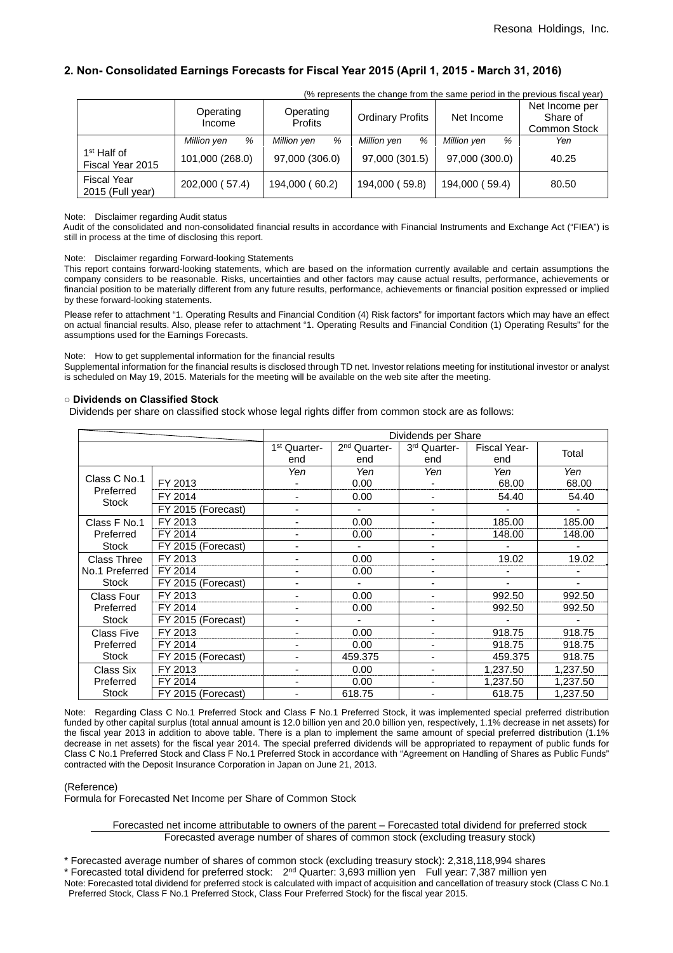## **2. Non- Consolidated Earnings Forecasts for Fiscal Year 2015 (April 1, 2015 - March 31, 2016)**

|                                             | (% represents the change from the same period in the previous fiscal year) |                             |                         |                  |                                                   |  |  |  |  |
|---------------------------------------------|----------------------------------------------------------------------------|-----------------------------|-------------------------|------------------|---------------------------------------------------|--|--|--|--|
|                                             | Operating<br>Income                                                        | Operating<br><b>Profits</b> | <b>Ordinary Profits</b> | Net Income       | Net Income per<br>Share of<br><b>Common Stock</b> |  |  |  |  |
|                                             | %<br>Million yen                                                           | %<br>Million yen            | Million yen<br>%        | Million yen<br>% | Yen                                               |  |  |  |  |
| 1 <sup>st</sup> Half of<br>Fiscal Year 2015 | 101,000 (268.0)                                                            | 97,000 (306.0)              | 97,000 (301.5)          | 97,000 (300.0)   | 40.25                                             |  |  |  |  |
| <b>Fiscal Year</b><br>2015 (Full year)      | 202,000 (57.4)                                                             | 194,000 (60.2)              | 194,000 (59.8)          | 194,000 (59.4)   | 80.50                                             |  |  |  |  |

Note: Disclaimer regarding Audit status

Audit of the consolidated and non-consolidated financial results in accordance with Financial Instruments and Exchange Act ("FIEA") is still in process at the time of disclosing this report.

Note: Disclaimer regarding Forward-looking Statements

This report contains forward-looking statements, which are based on the information currently available and certain assumptions the company considers to be reasonable. Risks, uncertainties and other factors may cause actual results, performance, achievements or financial position to be materially different from any future results, performance, achievements or financial position expressed or implied by these forward-looking statements.

Please refer to attachment "1. Operating Results and Financial Condition (4) Risk factors" for important factors which may have an effect on actual financial results. Also, please refer to attachment "1. Operating Results and Financial Condition (1) Operating Results" for the assumptions used for the Earnings Forecasts.

#### Note: How to get supplemental information for the financial results

Supplemental information for the financial results is disclosed through TD net. Investor relations meeting for institutional investor or analyst is scheduled on May 19, 2015. Materials for the meeting will be available on the web site after the meeting.

#### **○ Dividends on Classified Stock**

Dividends per share on classified stock whose legal rights differ from common stock are as follows:

|                    |                    | Dividends per Share      |                          |              |                     |          |
|--------------------|--------------------|--------------------------|--------------------------|--------------|---------------------|----------|
|                    |                    | 1 <sup>st</sup> Quarter- | 2 <sup>nd</sup> Quarter- | 3rd Quarter- | <b>Fiscal Year-</b> | Total    |
|                    |                    | end                      | end                      | end          | end                 |          |
|                    |                    | Yen                      | Yen                      | Yen          | Yen                 | Yen      |
| Class C No.1       | FY 2013            |                          | 0.00                     |              | 68.00               | 68.00    |
| Preferred<br>Stock | FY 2014            |                          | 0.00                     |              | 54.40               | 54.40    |
|                    | FY 2015 (Forecast) | ٠                        |                          |              |                     | ٠        |
| Class F No.1       | FY 2013            |                          | 0.00                     |              | 185.00              | 185.00   |
| Preferred          | FY 2014            |                          | 0.00                     |              | 148.00              | 148.00   |
| <b>Stock</b>       | FY 2015 (Forecast) | $\overline{\phantom{0}}$ |                          |              |                     |          |
| Class Three        | FY 2013            |                          | 0.00                     |              | 19.02               | 19.02    |
| No.1 Preferred     | FY 2014            |                          | 0.00                     |              |                     |          |
| <b>Stock</b>       | FY 2015 (Forecast) | $\overline{\phantom{0}}$ |                          |              |                     | ۰        |
| <b>Class Four</b>  | FY 2013            |                          | 0.00                     |              | 992.50              | 992.50   |
| Preferred          | FY 2014            |                          | 0.00                     |              | 992.50              | 992.50   |
| <b>Stock</b>       | FY 2015 (Forecast) | ٠                        |                          |              |                     |          |
| <b>Class Five</b>  | FY 2013            |                          | 0.00                     |              | 918.75              | 918.75   |
| Preferred          | FY 2014            |                          | 0.00                     |              | 918.75              | 918.75   |
| <b>Stock</b>       | FY 2015 (Forecast) |                          | 459.375                  |              | 459.375             | 918.75   |
| Class Six          | FY 2013            |                          | 0.00                     |              | 1.237.50            | 1,237.50 |
| Preferred          | FY 2014            |                          | 0.00                     |              | 1,237.50            | 1,237.50 |
| <b>Stock</b>       | FY 2015 (Forecast) |                          | 618.75                   |              | 618.75              | 1.237.50 |

Note: Regarding Class C No.1 Preferred Stock and Class F No.1 Preferred Stock, it was implemented special preferred distribution funded by other capital surplus (total annual amount is 12.0 billion yen and 20.0 billion yen, respectively, 1.1% decrease in net assets) for the fiscal year 2013 in addition to above table. There is a plan to implement the same amount of special preferred distribution (1.1% decrease in net assets) for the fiscal year 2014. The special preferred dividends will be appropriated to repayment of public funds for Class C No.1 Preferred Stock and Class F No.1 Preferred Stock in accordance with "Agreement on Handling of Shares as Public Funds" contracted with the Deposit Insurance Corporation in Japan on June 21, 2013.

(Reference)

Formula for Forecasted Net Income per Share of Common Stock

#### Forecasted net income attributable to owners of the parent – Forecasted total dividend for preferred stock Forecasted average number of shares of common stock (excluding treasury stock)

\* Forecasted average number of shares of common stock (excluding treasury stock): 2,318,118,994 shares

\* Forecasted total dividend for preferred stock: 2nd Quarter: 3,693 million yen Full year: 7,387 million yen

Note: Forecasted total dividend for preferred stock is calculated with impact of acquisition and cancellation of treasury stock (Class C No.1 Preferred Stock, Class F No.1 Preferred Stock, Class Four Preferred Stock) for the fiscal year 2015.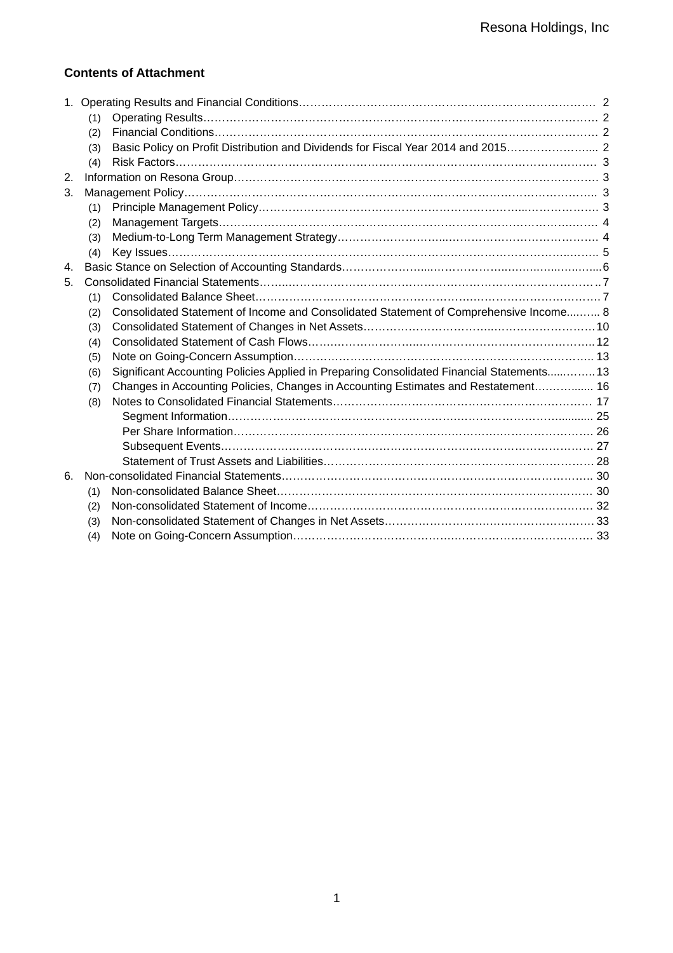## **Contents of Attachment**

|                | (1) |                                                                                           |  |
|----------------|-----|-------------------------------------------------------------------------------------------|--|
|                | (2) |                                                                                           |  |
|                | (3) |                                                                                           |  |
|                | (4) |                                                                                           |  |
| 2.             |     |                                                                                           |  |
| 3.             |     |                                                                                           |  |
|                | (1) |                                                                                           |  |
|                | (2) |                                                                                           |  |
|                | (3) |                                                                                           |  |
|                | (4) |                                                                                           |  |
| $\mathbf{4}$ . |     |                                                                                           |  |
| 5.             |     |                                                                                           |  |
|                | (1) |                                                                                           |  |
|                | (2) | Consolidated Statement of Income and Consolidated Statement of Comprehensive Income 8     |  |
|                | (3) |                                                                                           |  |
|                | (4) |                                                                                           |  |
|                | (5) |                                                                                           |  |
|                | (6) | Significant Accounting Policies Applied in Preparing Consolidated Financial Statements 13 |  |
|                | (7) | Changes in Accounting Policies, Changes in Accounting Estimates and Restatement 16        |  |
|                | (8) |                                                                                           |  |
|                |     |                                                                                           |  |
|                |     |                                                                                           |  |
|                |     |                                                                                           |  |
|                |     |                                                                                           |  |
| 6.             |     |                                                                                           |  |
|                | (1) |                                                                                           |  |
|                | (2) |                                                                                           |  |
|                | (3) |                                                                                           |  |
|                | (4) |                                                                                           |  |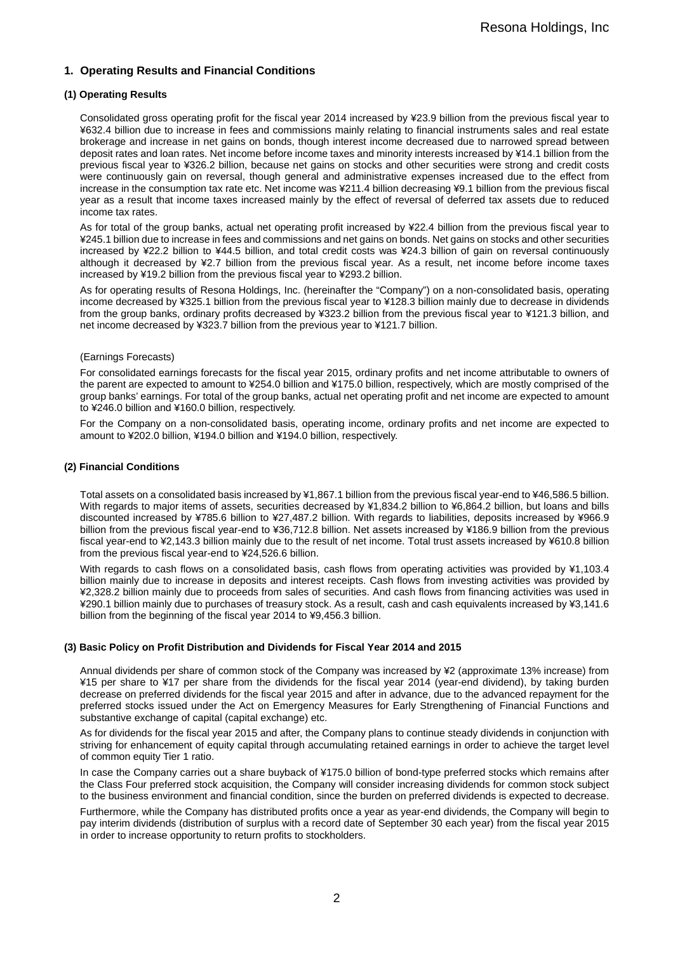## **1. Operating Results and Financial Conditions**

### **(1) Operating Results**

Consolidated gross operating profit for the fiscal year 2014 increased by ¥23.9 billion from the previous fiscal year to ¥632.4 billion due to increase in fees and commissions mainly relating to financial instruments sales and real estate brokerage and increase in net gains on bonds, though interest income decreased due to narrowed spread between deposit rates and loan rates. Net income before income taxes and minority interests increased by ¥14.1 billion from the previous fiscal year to ¥326.2 billion, because net gains on stocks and other securities were strong and credit costs were continuously gain on reversal, though general and administrative expenses increased due to the effect from increase in the consumption tax rate etc. Net income was ¥211.4 billion decreasing ¥9.1 billion from the previous fiscal year as a result that income taxes increased mainly by the effect of reversal of deferred tax assets due to reduced income tax rates.

As for total of the group banks, actual net operating profit increased by ¥22.4 billion from the previous fiscal year to ¥245.1 billion due to increase in fees and commissions and net gains on bonds. Net gains on stocks and other securities increased by ¥22.2 billion to ¥44.5 billion, and total credit costs was ¥24.3 billion of gain on reversal continuously although it decreased by ¥2.7 billion from the previous fiscal year. As a result, net income before income taxes increased by ¥19.2 billion from the previous fiscal year to ¥293.2 billion.

As for operating results of Resona Holdings, Inc. (hereinafter the "Company") on a non-consolidated basis, operating income decreased by ¥325.1 billion from the previous fiscal year to ¥128.3 billion mainly due to decrease in dividends from the group banks, ordinary profits decreased by ¥323.2 billion from the previous fiscal year to ¥121.3 billion, and net income decreased by ¥323.7 billion from the previous year to ¥121.7 billion.

#### (Earnings Forecasts)

For consolidated earnings forecasts for the fiscal year 2015, ordinary profits and net income attributable to owners of the parent are expected to amount to ¥254.0 billion and ¥175.0 billion, respectively, which are mostly comprised of the group banks' earnings. For total of the group banks, actual net operating profit and net income are expected to amount to ¥246.0 billion and ¥160.0 billion, respectively.

For the Company on a non-consolidated basis, operating income, ordinary profits and net income are expected to amount to ¥202.0 billion, ¥194.0 billion and ¥194.0 billion, respectively.

#### **(2) Financial Conditions**

Total assets on a consolidated basis increased by ¥1,867.1 billion from the previous fiscal year-end to ¥46,586.5 billion. With regards to major items of assets, securities decreased by ¥1,834.2 billion to ¥6,864.2 billion, but loans and bills discounted increased by ¥785.6 billion to ¥27,487.2 billion. With regards to liabilities, deposits increased by ¥966.9 billion from the previous fiscal year-end to ¥36,712.8 billion. Net assets increased by ¥186.9 billion from the previous fiscal year-end to ¥2,143.3 billion mainly due to the result of net income. Total trust assets increased by ¥610.8 billion from the previous fiscal year-end to ¥24,526.6 billion.

With regards to cash flows on a consolidated basis, cash flows from operating activities was provided by ¥1,103.4 billion mainly due to increase in deposits and interest receipts. Cash flows from investing activities was provided by ¥2,328.2 billion mainly due to proceeds from sales of securities. And cash flows from financing activities was used in ¥290.1 billion mainly due to purchases of treasury stock. As a result, cash and cash equivalents increased by ¥3,141.6 billion from the beginning of the fiscal year 2014 to ¥9,456.3 billion.

#### **(3) Basic Policy on Profit Distribution and Dividends for Fiscal Year 2014 and 2015**

Annual dividends per share of common stock of the Company was increased by ¥2 (approximate 13% increase) from ¥15 per share to ¥17 per share from the dividends for the fiscal year 2014 (year-end dividend), by taking burden decrease on preferred dividends for the fiscal year 2015 and after in advance, due to the advanced repayment for the preferred stocks issued under the Act on Emergency Measures for Early Strengthening of Financial Functions and substantive exchange of capital (capital exchange) etc.

As for dividends for the fiscal year 2015 and after, the Company plans to continue steady dividends in conjunction with striving for enhancement of equity capital through accumulating retained earnings in order to achieve the target level of common equity Tier 1 ratio.

In case the Company carries out a share buyback of ¥175.0 billion of bond-type preferred stocks which remains after the Class Four preferred stock acquisition, the Company will consider increasing dividends for common stock subject to the business environment and financial condition, since the burden on preferred dividends is expected to decrease.

Furthermore, while the Company has distributed profits once a year as year-end dividends, the Company will begin to pay interim dividends (distribution of surplus with a record date of September 30 each year) from the fiscal year 2015 in order to increase opportunity to return profits to stockholders.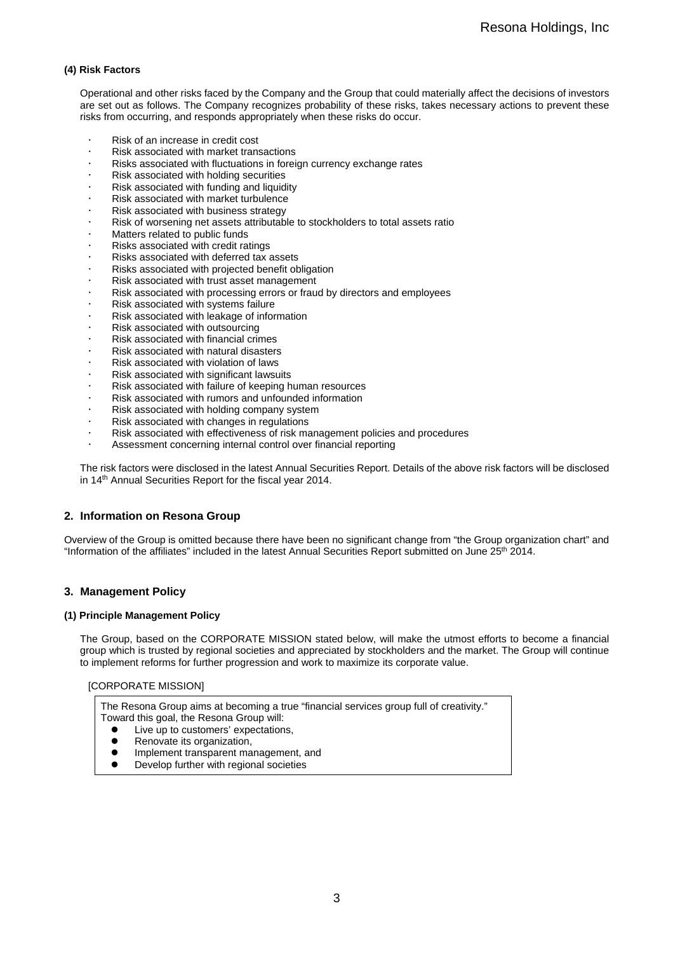### **(4) Risk Factors**

Operational and other risks faced by the Company and the Group that could materially affect the decisions of investors are set out as follows. The Company recognizes probability of these risks, takes necessary actions to prevent these risks from occurring, and responds appropriately when these risks do occur.

- Risk of an increase in credit cost
- Risk associated with market transactions
- Risks associated with fluctuations in foreign currency exchange rates
- Risk associated with holding securities
- Risk associated with funding and liquidity
- Risk associated with market turbulence
- Risk associated with business strategy
- Risk of worsening net assets attributable to stockholders to total assets ratio
- Matters related to public funds
- Risks associated with credit ratings
- Risks associated with deferred tax assets
- Risks associated with projected benefit obligation
- Risk associated with trust asset management
- Risk associated with processing errors or fraud by directors and employees
- Risk associated with systems failure
- Risk associated with leakage of information
- Risk associated with outsourcing
- Risk associated with financial crimes
- Risk associated with natural disasters
- Risk associated with violation of laws
- Risk associated with significant lawsuits
- Risk associated with failure of keeping human resources
- Risk associated with rumors and unfounded information
- Risk associated with holding company system
- Risk associated with changes in regulations
- Risk associated with effectiveness of risk management policies and procedures
- Assessment concerning internal control over financial reporting

The risk factors were disclosed in the latest Annual Securities Report. Details of the above risk factors will be disclosed in 14<sup>th</sup> Annual Securities Report for the fiscal year 2014.

#### **2. Information on Resona Group**

Overview of the Group is omitted because there have been no significant change from "the Group organization chart" and "Information of the affiliates" included in the latest Annual Securities Report submitted on June 25th 2014.

## **3. Management Policy**

#### **(1) Principle Management Policy**

The Group, based on the CORPORATE MISSION stated below, will make the utmost efforts to become a financial group which is trusted by regional societies and appreciated by stockholders and the market. The Group will continue to implement reforms for further progression and work to maximize its corporate value.

#### [CORPORATE MISSION]

The Resona Group aims at becoming a true "financial services group full of creativity." Toward this goal, the Resona Group will:

- Live up to customers' expectations,<br>• Renovate its organization
- Renovate its organization,
- Implement transparent management, and<br>• Develop further with regional societies
- Develop further with regional societies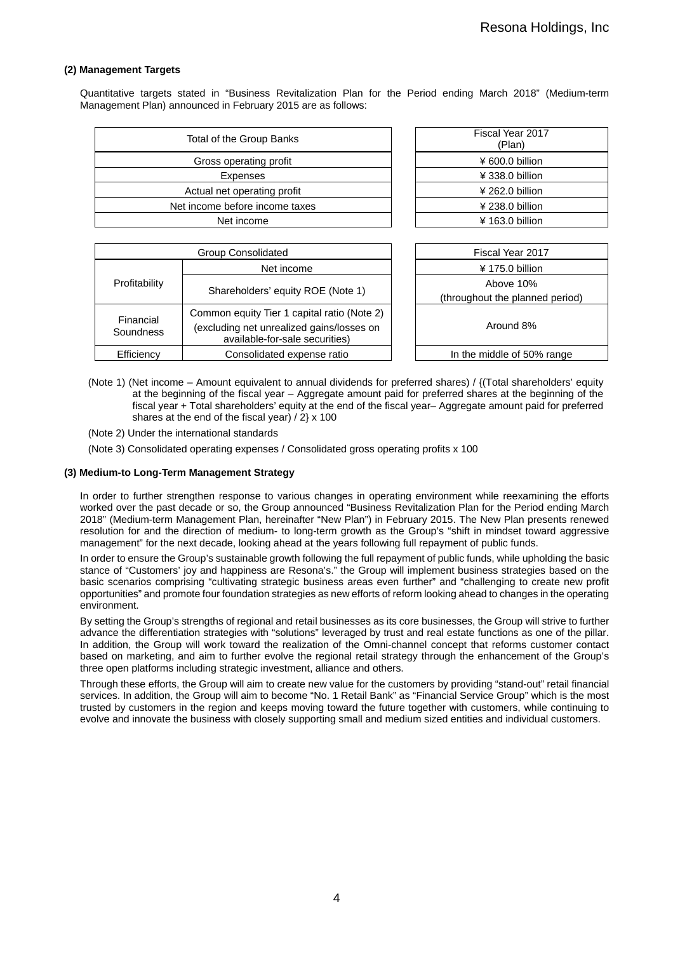#### **(2) Management Targets**

Quantitative targets stated in "Business Revitalization Plan for the Period ending March 2018" (Medium-term Management Plan) announced in February 2015 are as follows:

| Total of the Group Banks       | Fiscal Year 2017<br>(Plan) |
|--------------------------------|----------------------------|
| Gross operating profit         | $4600.0$ billion           |
| Expenses                       | ¥ 338.0 billion            |
| Actual net operating profit    | $4262.0$ billion           |
| Net income before income taxes | ¥ 238.0 billion            |
| Net income                     | $4163.0$ billion           |
|                                |                            |

| Fiscal Year 2017<br>(Plan) |  |
|----------------------------|--|
| ¥ 600.0 billion            |  |
| ¥ 338.0 billion            |  |
| $4262.0$ billion           |  |
| $4238.0$ billion           |  |
| $4163.0$ billion           |  |
|                            |  |

|                        | <b>Group Consolidated</b>                                                                                                  |  | Fiscal Year 2017                             |
|------------------------|----------------------------------------------------------------------------------------------------------------------------|--|----------------------------------------------|
|                        | Net income                                                                                                                 |  | $4175.0$ billion                             |
| Profitability          | Shareholders' equity ROE (Note 1)                                                                                          |  | Above 10%<br>(throughout the planned period) |
| Financial<br>Soundness | Common equity Tier 1 capital ratio (Note 2)<br>(excluding net unrealized gains/losses on<br>available-for-sale securities) |  | Around 8%                                    |
| Efficiency             | Consolidated expense ratio                                                                                                 |  | In the middle of 50% range                   |

- (Note 1) (Net income Amount equivalent to annual dividends for preferred shares) / {(Total shareholders' equity at the beginning of the fiscal year – Aggregate amount paid for preferred shares at the beginning of the fiscal year + Total shareholders' equity at the end of the fiscal year– Aggregate amount paid for preferred shares at the end of the fiscal year) / 2} x 100
- (Note 2) Under the international standards

(Note 3) Consolidated operating expenses / Consolidated gross operating profits x 100

#### **(3) Medium-to Long-Term Management Strategy**

In order to further strengthen response to various changes in operating environment while reexamining the efforts worked over the past decade or so, the Group announced "Business Revitalization Plan for the Period ending March 2018" (Medium-term Management Plan, hereinafter "New Plan") in February 2015. The New Plan presents renewed resolution for and the direction of medium- to long-term growth as the Group's "shift in mindset toward aggressive management" for the next decade, looking ahead at the years following full repayment of public funds.

In order to ensure the Group's sustainable growth following the full repayment of public funds, while upholding the basic stance of "Customers' joy and happiness are Resona's." the Group will implement business strategies based on the basic scenarios comprising "cultivating strategic business areas even further" and "challenging to create new profit opportunities" and promote four foundation strategies as new efforts of reform looking ahead to changes in the operating environment.

By setting the Group's strengths of regional and retail businesses as its core businesses, the Group will strive to further advance the differentiation strategies with "solutions" leveraged by trust and real estate functions as one of the pillar. In addition, the Group will work toward the realization of the Omni-channel concept that reforms customer contact based on marketing, and aim to further evolve the regional retail strategy through the enhancement of the Group's three open platforms including strategic investment, alliance and others.

Through these efforts, the Group will aim to create new value for the customers by providing "stand-out" retail financial services. In addition, the Group will aim to become "No. 1 Retail Bank" as "Financial Service Group" which is the most trusted by customers in the region and keeps moving toward the future together with customers, while continuing to evolve and innovate the business with closely supporting small and medium sized entities and individual customers.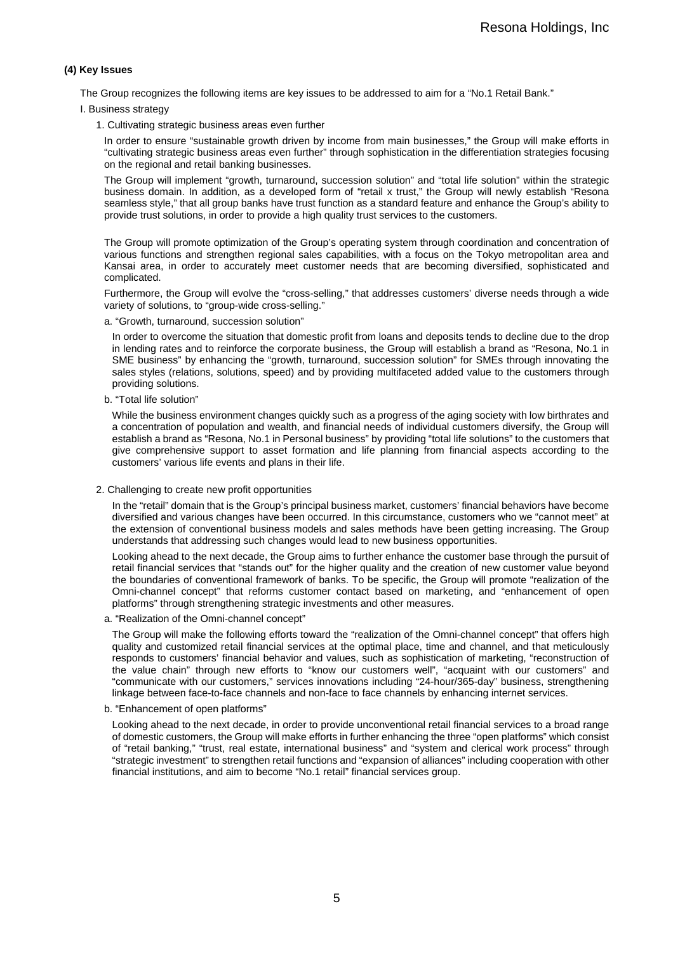### **(4) Key Issues**

The Group recognizes the following items are key issues to be addressed to aim for a "No.1 Retail Bank."

I. Business strategy

1. Cultivating strategic business areas even further

In order to ensure "sustainable growth driven by income from main businesses," the Group will make efforts in "cultivating strategic business areas even further" through sophistication in the differentiation strategies focusing on the regional and retail banking businesses.

The Group will implement "growth, turnaround, succession solution" and "total life solution" within the strategic business domain. In addition, as a developed form of "retail x trust," the Group will newly establish "Resona seamless style," that all group banks have trust function as a standard feature and enhance the Group's ability to provide trust solutions, in order to provide a high quality trust services to the customers.

The Group will promote optimization of the Group's operating system through coordination and concentration of various functions and strengthen regional sales capabilities, with a focus on the Tokyo metropolitan area and Kansai area, in order to accurately meet customer needs that are becoming diversified, sophisticated and complicated.

Furthermore, the Group will evolve the "cross-selling," that addresses customers' diverse needs through a wide variety of solutions, to "group-wide cross-selling."

a. "Growth, turnaround, succession solution"

In order to overcome the situation that domestic profit from loans and deposits tends to decline due to the drop in lending rates and to reinforce the corporate business, the Group will establish a brand as "Resona, No.1 in SME business" by enhancing the "growth, turnaround, succession solution" for SMEs through innovating the sales styles (relations, solutions, speed) and by providing multifaceted added value to the customers through providing solutions.

b. "Total life solution"

While the business environment changes quickly such as a progress of the aging society with low birthrates and a concentration of population and wealth, and financial needs of individual customers diversify, the Group will establish a brand as "Resona, No.1 in Personal business" by providing "total life solutions" to the customers that give comprehensive support to asset formation and life planning from financial aspects according to the customers' various life events and plans in their life.

2. Challenging to create new profit opportunities

In the "retail" domain that is the Group's principal business market, customers' financial behaviors have become diversified and various changes have been occurred. In this circumstance, customers who we "cannot meet" at the extension of conventional business models and sales methods have been getting increasing. The Group understands that addressing such changes would lead to new business opportunities.

Looking ahead to the next decade, the Group aims to further enhance the customer base through the pursuit of retail financial services that "stands out" for the higher quality and the creation of new customer value beyond the boundaries of conventional framework of banks. To be specific, the Group will promote "realization of the Omni-channel concept" that reforms customer contact based on marketing, and "enhancement of open platforms" through strengthening strategic investments and other measures.

a. "Realization of the Omni-channel concept"

The Group will make the following efforts toward the "realization of the Omni-channel concept" that offers high quality and customized retail financial services at the optimal place, time and channel, and that meticulously responds to customers' financial behavior and values, such as sophistication of marketing, "reconstruction of the value chain" through new efforts to "know our customers well", "acquaint with our customers" and "communicate with our customers," services innovations including "24-hour/365-day" business, strengthening linkage between face-to-face channels and non-face to face channels by enhancing internet services.

b. "Enhancement of open platforms"

Looking ahead to the next decade, in order to provide unconventional retail financial services to a broad range of domestic customers, the Group will make efforts in further enhancing the three "open platforms" which consist of "retail banking," "trust, real estate, international business" and "system and clerical work process" through "strategic investment" to strengthen retail functions and "expansion of alliances" including cooperation with other financial institutions, and aim to become "No.1 retail" financial services group.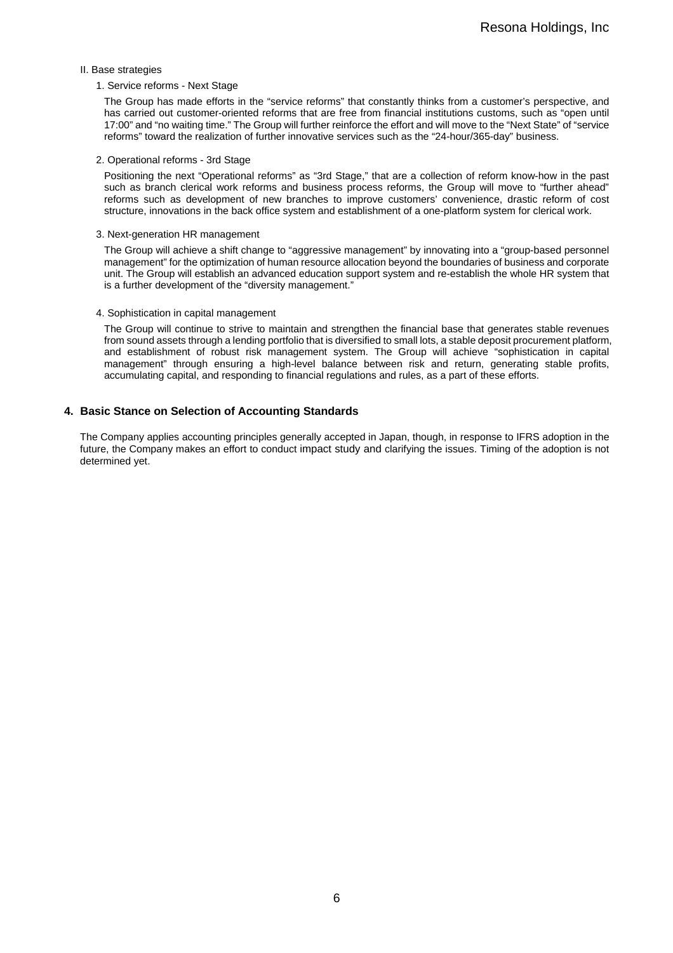#### II. Base strategies

#### 1. Service reforms - Next Stage

The Group has made efforts in the "service reforms" that constantly thinks from a customer's perspective, and has carried out customer-oriented reforms that are free from financial institutions customs, such as "open until 17:00" and "no waiting time." The Group will further reinforce the effort and will move to the "Next State" of "service reforms" toward the realization of further innovative services such as the "24-hour/365-day" business.

#### 2. Operational reforms - 3rd Stage

Positioning the next "Operational reforms" as "3rd Stage," that are a collection of reform know-how in the past such as branch clerical work reforms and business process reforms, the Group will move to "further ahead" reforms such as development of new branches to improve customers' convenience, drastic reform of cost structure, innovations in the back office system and establishment of a one-platform system for clerical work.

#### 3. Next-generation HR management

The Group will achieve a shift change to "aggressive management" by innovating into a "group-based personnel management" for the optimization of human resource allocation beyond the boundaries of business and corporate unit. The Group will establish an advanced education support system and re-establish the whole HR system that is a further development of the "diversity management."

#### 4. Sophistication in capital management

The Group will continue to strive to maintain and strengthen the financial base that generates stable revenues from sound assets through a lending portfolio that is diversified to small lots, a stable deposit procurement platform, and establishment of robust risk management system. The Group will achieve "sophistication in capital management" through ensuring a high-level balance between risk and return, generating stable profits, accumulating capital, and responding to financial regulations and rules, as a part of these efforts.

#### **4. Basic Stance on Selection of Accounting Standards**

The Company applies accounting principles generally accepted in Japan, though, in response to IFRS adoption in the future, the Company makes an effort to conduct impact study and clarifying the issues. Timing of the adoption is not determined yet.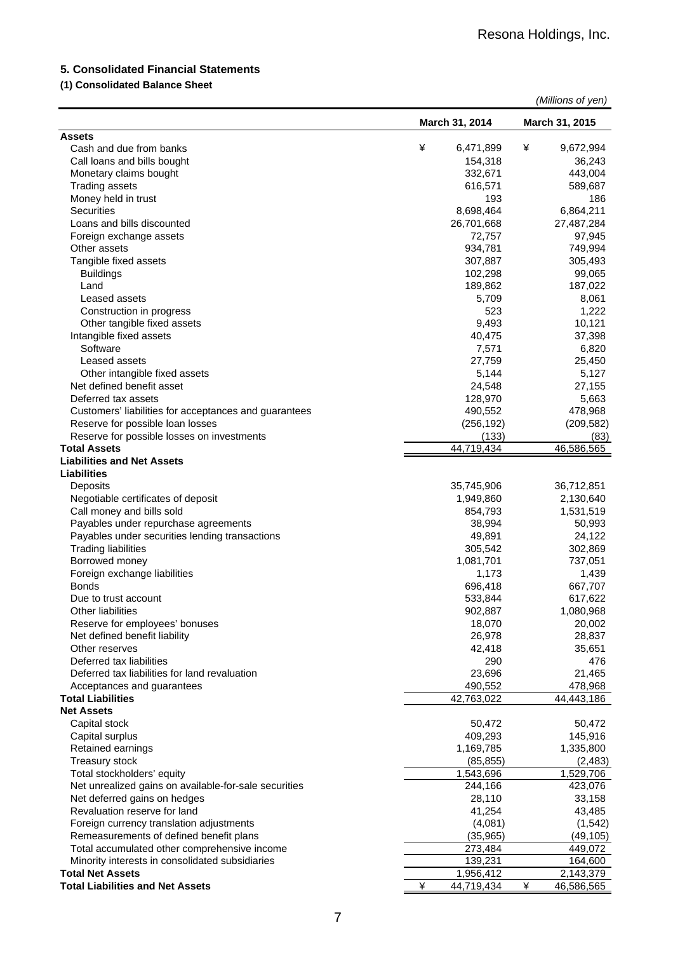## **5. Consolidated Financial Statements**

## **(1) Consolidated Balance Sheet**

|                                                       |   |                    |   | (Millions of yen)    |
|-------------------------------------------------------|---|--------------------|---|----------------------|
|                                                       |   | March 31, 2014     |   | March 31, 2015       |
| <b>Assets</b>                                         |   |                    |   |                      |
| Cash and due from banks                               | ¥ | 6,471,899          | ¥ | 9,672,994            |
| Call loans and bills bought                           |   | 154,318            |   | 36,243               |
| Monetary claims bought                                |   | 332,671            |   | 443,004              |
| <b>Trading assets</b>                                 |   | 616,571            |   | 589,687              |
| Money held in trust                                   |   | 193                |   | 186                  |
| Securities                                            |   | 8,698,464          |   | 6,864,211            |
| Loans and bills discounted                            |   | 26,701,668         |   | 27,487,284           |
| Foreign exchange assets                               |   | 72,757             |   | 97,945               |
| Other assets                                          |   | 934,781            |   | 749,994              |
| Tangible fixed assets                                 |   | 307,887            |   | 305,493              |
| <b>Buildings</b>                                      |   | 102,298            |   | 99,065               |
| Land                                                  |   | 189,862            |   | 187,022              |
| Leased assets                                         |   | 5,709              |   | 8,061                |
| Construction in progress                              |   | 523                |   | 1,222                |
| Other tangible fixed assets                           |   | 9,493              |   | 10,121               |
| Intangible fixed assets                               |   | 40,475             |   | 37,398               |
| Software                                              |   | 7,571              |   | 6,820                |
| Leased assets                                         |   | 27,759             |   | 25,450               |
| Other intangible fixed assets                         |   | 5,144              |   | 5,127                |
| Net defined benefit asset                             |   | 24,548             |   | 27,155               |
| Deferred tax assets                                   |   | 128,970            |   | 5,663                |
| Customers' liabilities for acceptances and guarantees |   | 490,552            |   | 478,968              |
| Reserve for possible loan losses                      |   | (256, 192)         |   | (209, 582)           |
| Reserve for possible losses on investments            |   | (133)              |   | (83)                 |
| <b>Total Assets</b>                                   |   | 44,719,434         |   | 46,586,565           |
| <b>Liabilities and Net Assets</b>                     |   |                    |   |                      |
| <b>Liabilities</b>                                    |   |                    |   |                      |
| Deposits                                              |   | 35,745,906         |   | 36,712,851           |
| Negotiable certificates of deposit                    |   | 1,949,860          |   | 2,130,640            |
| Call money and bills sold                             |   | 854,793            |   | 1,531,519            |
| Payables under repurchase agreements                  |   | 38,994             |   | 50,993               |
| Payables under securities lending transactions        |   | 49,891             |   | 24,122               |
| <b>Trading liabilities</b>                            |   | 305,542            |   | 302,869              |
| Borrowed money                                        |   | 1,081,701          |   | 737,051              |
| Foreign exchange liabilities<br><b>Bonds</b>          |   | 1,173              |   | 1,439                |
|                                                       |   | 696,418            |   | 667,707              |
| Due to trust account<br>Other liabilities             |   | 533,844<br>902,887 |   | 617,622<br>1,080,968 |
| Reserve for employees' bonuses                        |   | 18,070             |   | 20,002               |
| Net defined benefit liability                         |   | 26,978             |   | 28,837               |
| Other reserves                                        |   | 42,418             |   | 35,651               |
| Deferred tax liabilities                              |   | 290                |   | 476                  |
| Deferred tax liabilities for land revaluation         |   | 23,696             |   | 21,465               |
| Acceptances and guarantees                            |   | 490,552            |   | 478,968              |
| <b>Total Liabilities</b>                              |   | 42,763,022         |   | 44,443,186           |
| <b>Net Assets</b>                                     |   |                    |   |                      |
| Capital stock                                         |   | 50,472             |   | 50,472               |
| Capital surplus                                       |   | 409,293            |   | 145,916              |
| Retained earnings                                     |   | 1,169,785          |   | 1,335,800            |
| <b>Treasury stock</b>                                 |   | (85, 855)          |   | (2, 483)             |
| Total stockholders' equity                            |   | 1,543,696          |   | 1,529,706            |
| Net unrealized gains on available-for-sale securities |   | 244,166            |   | 423,076              |
| Net deferred gains on hedges                          |   | 28,110             |   | 33,158               |
| Revaluation reserve for land                          |   | 41,254             |   | 43,485               |
| Foreign currency translation adjustments              |   | (4,081)            |   | (1, 542)             |
| Remeasurements of defined benefit plans               |   | (35, 965)          |   | (49, 105)            |
| Total accumulated other comprehensive income          |   | 273,484            |   | 449,072              |
| Minority interests in consolidated subsidiaries       |   | 139,231            |   | 164,600              |
| <b>Total Net Assets</b>                               |   | 1,956,412          |   | 2,143,379            |
| <b>Total Liabilities and Net Assets</b>               | ¥ | 44,719,434         | ¥ | 46,586,565           |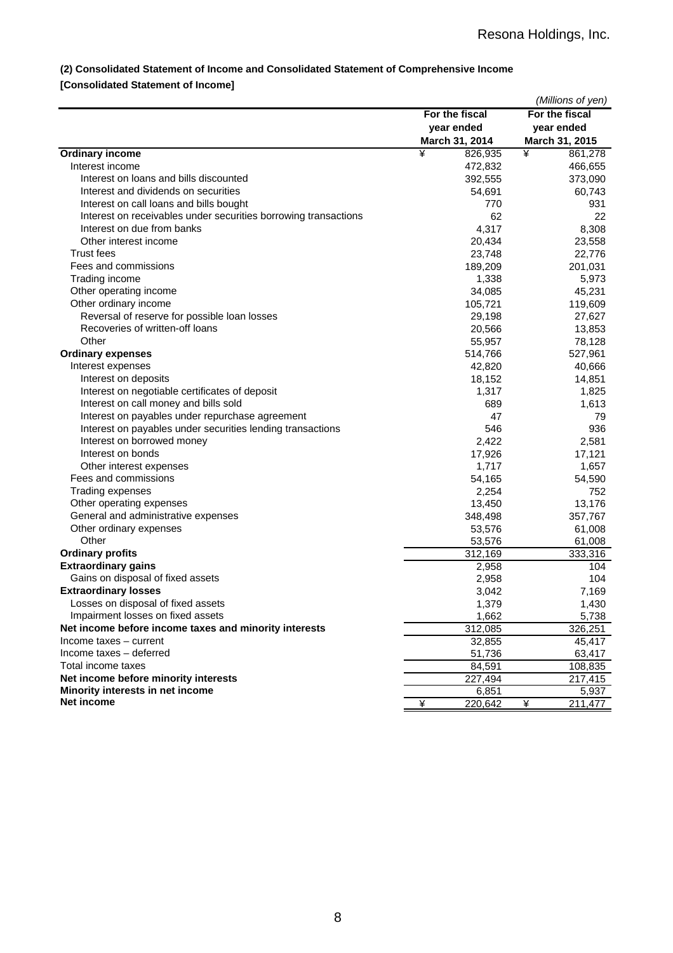## **(2) Consolidated Statement of Income and Consolidated Statement of Comprehensive Income**

## **[Consolidated Statement of Income]**

|                                                                 |                       | (Millions of yen) |        |
|-----------------------------------------------------------------|-----------------------|-------------------|--------|
|                                                                 | For the fiscal        | For the fiscal    |        |
|                                                                 | year ended            | year ended        |        |
|                                                                 | March 31, 2014        | March 31, 2015    |        |
| <b>Ordinary income</b>                                          | ¥<br>826,935          | ¥<br>861,278      |        |
| Interest income                                                 | 472,832               | 466,655           |        |
| Interest on loans and bills discounted                          | 392,555               | 373,090           |        |
| Interest and dividends on securities                            | 54,691                | 60,743            |        |
| Interest on call loans and bills bought                         | 770                   |                   | 931    |
| Interest on receivables under securities borrowing transactions |                       | 62                | 22     |
| Interest on due from banks                                      | 4,317                 |                   | 8,308  |
| Other interest income                                           | 20,434                | 23,558            |        |
| <b>Trust fees</b>                                               | 23,748                | 22,776            |        |
| Fees and commissions                                            | 189,209               | 201,031           |        |
| Trading income                                                  | 1,338                 |                   | 5,973  |
| Other operating income                                          | 34,085                | 45,231            |        |
| Other ordinary income                                           | 105,721               | 119,609           |        |
| Reversal of reserve for possible loan losses                    | 29,198                | 27,627            |        |
| Recoveries of written-off loans                                 | 20,566                | 13,853            |        |
| Other                                                           | 55,957                | 78,128            |        |
| <b>Ordinary expenses</b>                                        | 514,766               | 527,961           |        |
| Interest expenses                                               | 42,820                | 40,666            |        |
| Interest on deposits                                            | 18,152                | 14,851            |        |
| Interest on negotiable certificates of deposit                  | 1,317                 |                   | 1,825  |
| Interest on call money and bills sold                           | 689                   |                   | 1,613  |
| Interest on payables under repurchase agreement                 |                       | 47                | 79     |
| Interest on payables under securities lending transactions      | 546                   |                   | 936    |
| Interest on borrowed money                                      | 2,422                 |                   | 2,581  |
| Interest on bonds                                               | 17,926                | 17,121            |        |
| Other interest expenses                                         | 1,717                 |                   | 1,657  |
| Fees and commissions                                            | 54,165                | 54,590            |        |
| Trading expenses                                                | 2,254                 |                   | 752    |
| Other operating expenses                                        | 13,450                | 13,176            |        |
| General and administrative expenses                             | 348,498               | 357,767           |        |
| Other ordinary expenses                                         | 53,576                | 61,008            |        |
| Other                                                           | 53,576                | 61,008            |        |
| <b>Ordinary profits</b>                                         | 312,169               | 333,316           |        |
| <b>Extraordinary gains</b>                                      | 2,958                 |                   | 104    |
| Gains on disposal of fixed assets                               | 2,958                 |                   | 104    |
| <b>Extraordinary losses</b>                                     | 3,042                 |                   | 7,169  |
| Losses on disposal of fixed assets                              | 1,379                 |                   | 1,430  |
| Impairment losses on fixed assets                               | 1,662                 |                   | 5,738  |
| Net income before income taxes and minority interests           | 312,085               | 326,251           |        |
| Income taxes - current                                          |                       |                   |        |
| Income taxes - deferred                                         | 32,855                |                   | 45,417 |
| Total income taxes                                              | 51,736                | 63,417            |        |
| Net income before minority interests                            | 84,591                | 108,835           |        |
|                                                                 | 227,494               | 217,415           |        |
| Minority interests in net income<br>Net income                  | 6,851<br>¥<br>220,642 | ¥<br>211,477      | 5,937  |
|                                                                 |                       |                   |        |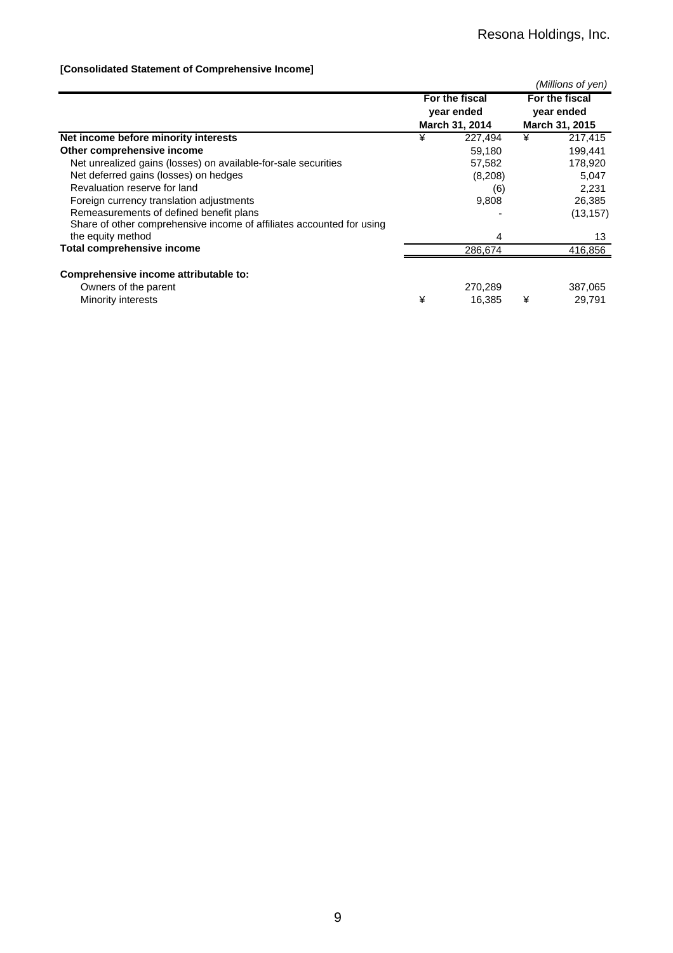## **[Consolidated Statement of Comprehensive Income]**

|                                                                       |                |                |                | (Millions of yen) |  |
|-----------------------------------------------------------------------|----------------|----------------|----------------|-------------------|--|
|                                                                       | For the fiscal |                | For the fiscal |                   |  |
|                                                                       |                | year ended     | year ended     |                   |  |
|                                                                       |                | March 31, 2014 | March 31, 2015 |                   |  |
| Net income before minority interests                                  | ¥<br>227,494   |                | ¥              | 217,415           |  |
| Other comprehensive income                                            |                | 59,180         |                | 199,441           |  |
| Net unrealized gains (losses) on available-for-sale securities        |                | 57,582         |                | 178,920           |  |
| Net deferred gains (losses) on hedges                                 |                | (8,208)        |                | 5,047             |  |
| Revaluation reserve for land                                          |                | (6)            |                | 2,231             |  |
| Foreign currency translation adjustments                              |                | 9,808          |                | 26,385            |  |
| Remeasurements of defined benefit plans                               |                |                |                | (13, 157)         |  |
| Share of other comprehensive income of affiliates accounted for using |                |                |                |                   |  |
| the equity method                                                     |                | 4              |                | 13                |  |
| <b>Total comprehensive income</b>                                     |                | 286,674        |                | 416,856           |  |
|                                                                       |                |                |                |                   |  |
| Comprehensive income attributable to:                                 |                |                |                |                   |  |
| Owners of the parent                                                  |                | 270,289        |                | 387,065           |  |
| Minority interests                                                    | ¥              | 16.385         | ¥              | 29,791            |  |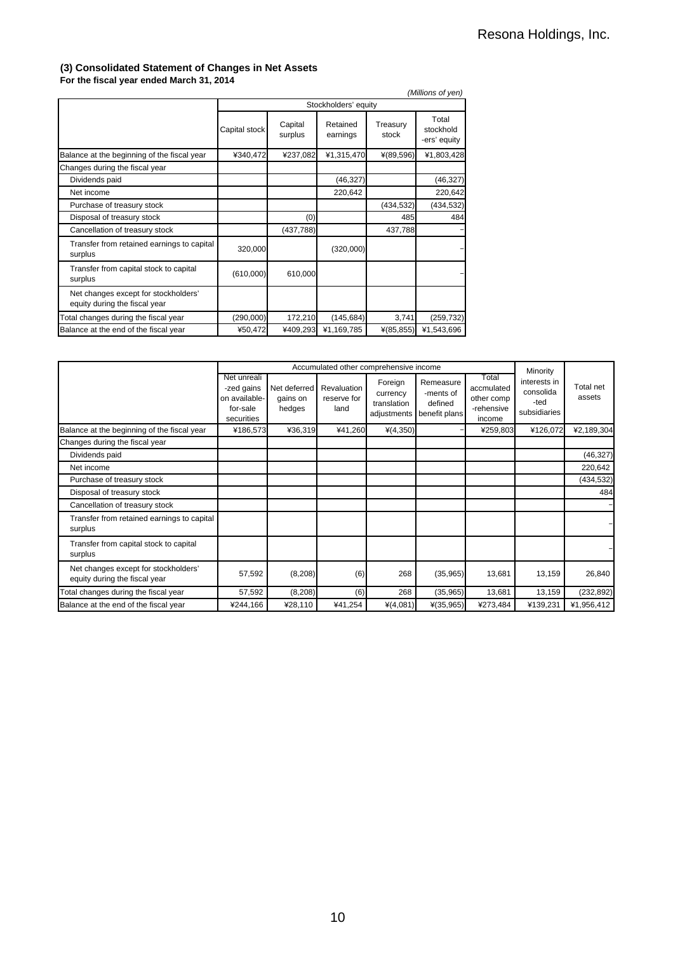#### **(3) Consolidated Statement of Changes in Net Assets For the fiscal year ended March 31, 2014**

|                                                                       |               |                    |                      |                   | (Millions of yen)                  |
|-----------------------------------------------------------------------|---------------|--------------------|----------------------|-------------------|------------------------------------|
|                                                                       |               |                    | Stockholders' equity |                   |                                    |
|                                                                       | Capital stock | Capital<br>surplus | Retained<br>earnings | Treasury<br>stock | Total<br>stockhold<br>-ers' equity |
| Balance at the beginning of the fiscal year                           | ¥340,472      | ¥237,082           | ¥1,315,470           | $*(89,596)$       | ¥1,803,428                         |
| Changes during the fiscal year                                        |               |                    |                      |                   |                                    |
| Dividends paid                                                        |               |                    | (46, 327)            |                   | (46, 327)                          |
| Net income                                                            |               |                    | 220,642              |                   | 220,642                            |
| Purchase of treasury stock                                            |               |                    |                      | (434, 532)        | (434, 532)                         |
| Disposal of treasury stock                                            |               | (0)                |                      | 485               | 484                                |
| Cancellation of treasury stock                                        |               | (437, 788)         |                      | 437,788           |                                    |
| Transfer from retained earnings to capital<br>surplus                 | 320,000       |                    | (320,000)            |                   |                                    |
| Transfer from capital stock to capital<br>surplus                     | (610,000)     | 610,000            |                      |                   |                                    |
| Net changes except for stockholders'<br>equity during the fiscal year |               |                    |                      |                   |                                    |
| Total changes during the fiscal year                                  | (290,000)     | 172,210            | (145, 684)           | 3,741             | (259, 732)                         |
| Balance at the end of the fiscal year                                 | ¥50,472       | ¥409,293           | ¥1,169,785           | $*(85, 855)$      | ¥1,543,696                         |

|                                                                       |                                                                      | Accumulated other comprehensive income |                                    |                                                   |                                                    |                                                           |                                                               |                     |
|-----------------------------------------------------------------------|----------------------------------------------------------------------|----------------------------------------|------------------------------------|---------------------------------------------------|----------------------------------------------------|-----------------------------------------------------------|---------------------------------------------------------------|---------------------|
|                                                                       | Net unreali<br>-zed gains<br>on available-<br>for-sale<br>securities | Net deferred<br>gains on<br>hedges     | Revaluation<br>reserve for<br>land | Foreign<br>currency<br>translation<br>adjustments | Remeasure<br>-ments of<br>defined<br>benefit plans | Total<br>accmulated<br>other comp<br>-rehensive<br>income | Minority<br>interests in<br>consolida<br>-ted<br>subsidiaries | Total net<br>assets |
| Balance at the beginning of the fiscal year                           | ¥186,573                                                             | ¥36,319                                | ¥41,260                            | $*(4,350)$                                        |                                                    | ¥259,803                                                  | ¥126,072                                                      | ¥2,189,304          |
| Changes during the fiscal year                                        |                                                                      |                                        |                                    |                                                   |                                                    |                                                           |                                                               |                     |
| Dividends paid                                                        |                                                                      |                                        |                                    |                                                   |                                                    |                                                           |                                                               | (46, 327)           |
| Net income                                                            |                                                                      |                                        |                                    |                                                   |                                                    |                                                           |                                                               | 220,642             |
| Purchase of treasury stock                                            |                                                                      |                                        |                                    |                                                   |                                                    |                                                           |                                                               | (434, 532)          |
| Disposal of treasury stock                                            |                                                                      |                                        |                                    |                                                   |                                                    |                                                           |                                                               | 484                 |
| Cancellation of treasury stock                                        |                                                                      |                                        |                                    |                                                   |                                                    |                                                           |                                                               |                     |
| Transfer from retained earnings to capital<br>surplus                 |                                                                      |                                        |                                    |                                                   |                                                    |                                                           |                                                               |                     |
| Transfer from capital stock to capital<br>surplus                     |                                                                      |                                        |                                    |                                                   |                                                    |                                                           |                                                               |                     |
| Net changes except for stockholders'<br>equity during the fiscal year | 57,592                                                               | (8, 208)                               | (6)                                | 268                                               | (35,965)                                           | 13,681                                                    | 13,159                                                        | 26,840              |
| Total changes during the fiscal year                                  | 57,592                                                               | (8, 208)                               | (6)                                | 268                                               | (35, 965)                                          | 13,681                                                    | 13,159                                                        | (232, 892)          |
| Balance at the end of the fiscal year                                 | ¥244,166                                                             | ¥28,110                                | ¥41,254                            | $*(4,081)$                                        | $*(35,965)$                                        | ¥273,484                                                  | ¥139,231                                                      | ¥1,956,412          |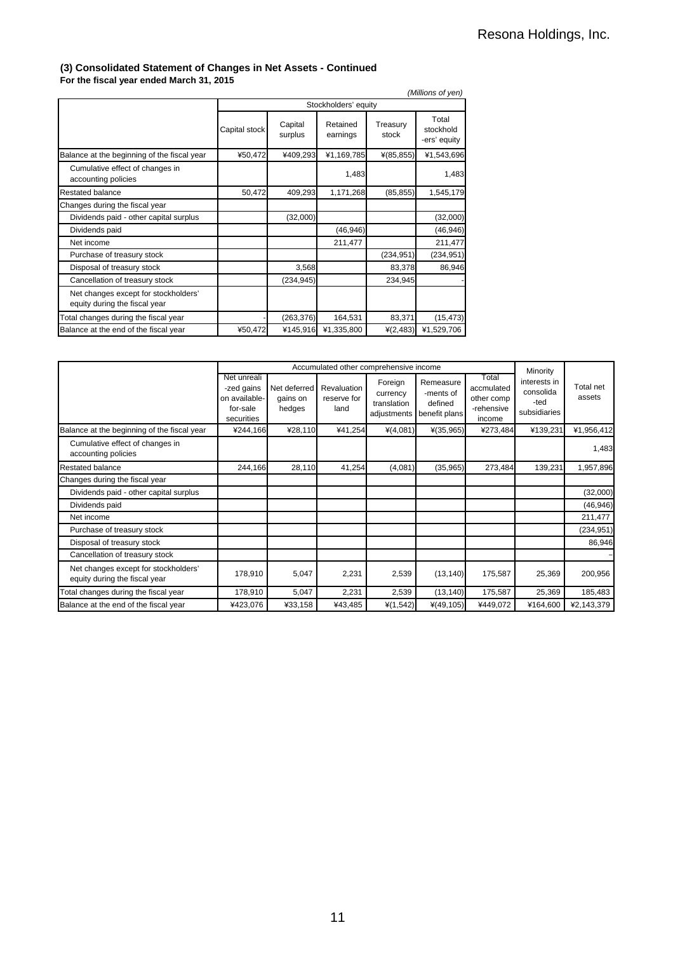## **(3) Consolidated Statement of Changes in Net Assets - Continued**

**For the fiscal year ended March 31, 2015**

| (Millions of yen)                                                     |               |                      |                      |                   |                                    |  |  |  |  |
|-----------------------------------------------------------------------|---------------|----------------------|----------------------|-------------------|------------------------------------|--|--|--|--|
|                                                                       |               | Stockholders' equity |                      |                   |                                    |  |  |  |  |
|                                                                       | Capital stock | Capital<br>surplus   | Retained<br>earnings | Treasury<br>stock | Total<br>stockhold<br>-ers' equity |  |  |  |  |
| Balance at the beginning of the fiscal year                           | ¥50,472       | ¥409,293             | ¥1,169,785           | $*(85, 855)$      | ¥1,543,696                         |  |  |  |  |
| Cumulative effect of changes in<br>accounting policies                |               |                      | 1,483                |                   | 1,483                              |  |  |  |  |
| <b>Restated balance</b>                                               | 50,472        | 409,293              | 1,171,268            | (85, 855)         | 1,545,179                          |  |  |  |  |
| Changes during the fiscal year                                        |               |                      |                      |                   |                                    |  |  |  |  |
| Dividends paid - other capital surplus                                |               | (32,000)             |                      |                   | (32,000)                           |  |  |  |  |
| Dividends paid                                                        |               |                      | (46, 946)            |                   | (46, 946)                          |  |  |  |  |
| Net income                                                            |               |                      | 211,477              |                   | 211,477                            |  |  |  |  |
| Purchase of treasury stock                                            |               |                      |                      | (234, 951)        | (234, 951)                         |  |  |  |  |
| Disposal of treasury stock                                            |               | 3,568                |                      | 83,378            | 86,946                             |  |  |  |  |
| Cancellation of treasury stock                                        |               | (234, 945)           |                      | 234,945           |                                    |  |  |  |  |
| Net changes except for stockholders'<br>equity during the fiscal year |               |                      |                      |                   |                                    |  |  |  |  |
| Total changes during the fiscal year                                  |               | (263, 376)           | 164,531              | 83,371            | (15, 473)                          |  |  |  |  |
| Balance at the end of the fiscal year                                 | ¥50,472       | ¥145,916             | ¥1,335,800           | $*(2, 483)$       | ¥1,529,706                         |  |  |  |  |

|                                                                       |                                                                      | Accumulated other comprehensive income |                                    | Minority                                          |                                                    |                                                           |                                                   |                     |
|-----------------------------------------------------------------------|----------------------------------------------------------------------|----------------------------------------|------------------------------------|---------------------------------------------------|----------------------------------------------------|-----------------------------------------------------------|---------------------------------------------------|---------------------|
|                                                                       | Net unreali<br>-zed gains<br>on available-<br>for-sale<br>securities | Net deferred<br>gains on<br>hedges     | Revaluation<br>reserve for<br>land | Foreign<br>currency<br>translation<br>adjustments | Remeasure<br>-ments of<br>defined<br>benefit plans | Total<br>accmulated<br>other comp<br>-rehensive<br>income | interests in<br>consolida<br>-ted<br>subsidiaries | Total net<br>assets |
| Balance at the beginning of the fiscal year                           | ¥244,166                                                             | ¥28,110                                | ¥41,254                            | $*(4,081)$                                        | $*(35,965)$                                        | ¥273,484                                                  | ¥139,231                                          | ¥1,956,412          |
| Cumulative effect of changes in<br>accounting policies                |                                                                      |                                        |                                    |                                                   |                                                    |                                                           |                                                   | 1,483               |
| <b>Restated balance</b>                                               | 244,166                                                              | 28,110                                 | 41,254                             | (4,081)                                           | (35, 965)                                          | 273,484                                                   | 139,231                                           | 1,957,896           |
| Changes during the fiscal year                                        |                                                                      |                                        |                                    |                                                   |                                                    |                                                           |                                                   |                     |
| Dividends paid - other capital surplus                                |                                                                      |                                        |                                    |                                                   |                                                    |                                                           |                                                   | (32,000)            |
| Dividends paid                                                        |                                                                      |                                        |                                    |                                                   |                                                    |                                                           |                                                   | (46, 946)           |
| Net income                                                            |                                                                      |                                        |                                    |                                                   |                                                    |                                                           |                                                   | 211,477             |
| Purchase of treasury stock                                            |                                                                      |                                        |                                    |                                                   |                                                    |                                                           |                                                   | (234, 951)          |
| Disposal of treasury stock                                            |                                                                      |                                        |                                    |                                                   |                                                    |                                                           |                                                   | 86,946              |
| Cancellation of treasury stock                                        |                                                                      |                                        |                                    |                                                   |                                                    |                                                           |                                                   |                     |
| Net changes except for stockholders'<br>equity during the fiscal year | 178,910                                                              | 5,047                                  | 2,231                              | 2,539                                             | (13, 140)                                          | 175,587                                                   | 25,369                                            | 200,956             |
| Total changes during the fiscal year                                  | 178,910                                                              | 5,047                                  | 2,231                              | 2,539                                             | (13, 140)                                          | 175,587                                                   | 25,369                                            | 185,483             |
| Balance at the end of the fiscal year                                 | ¥423,076                                                             | ¥33,158                                | ¥43,485                            | $*(1,542)$                                        | $*(49, 105)$                                       | ¥449,072                                                  | ¥164,600                                          | ¥2,143,379          |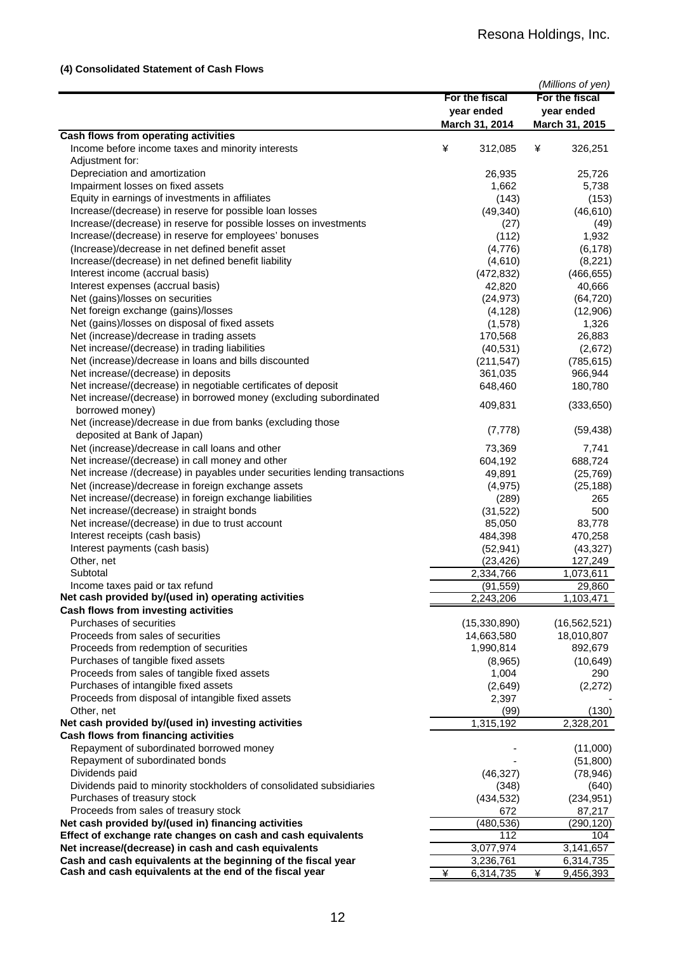## **(4) Consolidated Statement of Cash Flows**

|                                                                            |                |                | (Millions of yen) |
|----------------------------------------------------------------------------|----------------|----------------|-------------------|
|                                                                            | For the fiscal |                | For the fiscal    |
|                                                                            |                | year ended     | year ended        |
|                                                                            |                | March 31, 2014 | March 31, 2015    |
| Cash flows from operating activities                                       |                |                |                   |
| Income before income taxes and minority interests                          | ¥              | 312,085        | ¥<br>326,251      |
| Adjustment for:                                                            |                |                |                   |
| Depreciation and amortization                                              |                | 26,935         | 25,726            |
| Impairment losses on fixed assets                                          |                | 1,662          | 5,738             |
| Equity in earnings of investments in affiliates                            |                | (143)          | (153)             |
| Increase/(decrease) in reserve for possible loan losses                    |                | (49, 340)      | (46, 610)         |
| Increase/(decrease) in reserve for possible losses on investments          |                | (27)           | (49)              |
| Increase/(decrease) in reserve for employees' bonuses                      |                | (112)          | 1,932             |
| (Increase)/decrease in net defined benefit asset                           |                | (4,776)        | (6, 178)          |
| Increase/(decrease) in net defined benefit liability                       |                | (4,610)        | (8,221)           |
| Interest income (accrual basis)                                            |                | (472, 832)     | (466, 655)        |
| Interest expenses (accrual basis)                                          |                | 42,820         | 40,666            |
| Net (gains)/losses on securities                                           |                | (24, 973)      | (64, 720)         |
| Net foreign exchange (gains)/losses                                        |                | (4, 128)       | (12,906)          |
| Net (gains)/losses on disposal of fixed assets                             |                | (1,578)        | 1,326             |
| Net (increase)/decrease in trading assets                                  |                | 170,568        | 26,883            |
| Net increase/(decrease) in trading liabilities                             |                | (40, 531)      | (2,672)           |
| Net (increase)/decrease in loans and bills discounted                      |                | (211, 547)     | (785, 615)        |
| Net increase/(decrease) in deposits                                        |                |                |                   |
| Net increase/(decrease) in negotiable certificates of deposit              |                | 361,035        | 966,944           |
| Net increase/(decrease) in borrowed money (excluding subordinated          |                | 648,460        | 180,780           |
| borrowed money)                                                            |                | 409,831        | (333, 650)        |
| Net (increase)/decrease in due from banks (excluding those                 |                |                |                   |
|                                                                            |                | (7, 778)       | (59, 438)         |
| deposited at Bank of Japan)                                                |                |                |                   |
| Net (increase)/decrease in call loans and other                            |                | 73,369         | 7,741             |
| Net increase/(decrease) in call money and other                            |                | 604,192        | 688,724           |
| Net increase /(decrease) in payables under securities lending transactions |                | 49,891         | (25, 769)         |
| Net (increase)/decrease in foreign exchange assets                         |                | (4, 975)       | (25, 188)         |
| Net increase/(decrease) in foreign exchange liabilities                    |                | (289)          | 265               |
| Net increase/(decrease) in straight bonds                                  |                | (31, 522)      | 500               |
| Net increase/(decrease) in due to trust account                            |                | 85,050         | 83,778            |
| Interest receipts (cash basis)                                             |                | 484,398        | 470,258           |
| Interest payments (cash basis)                                             |                | (52, 941)      | (43, 327)         |
| Other, net                                                                 |                | (23, 426)      | 127,249           |
| Subtotal                                                                   |                | 2,334,766      | 1,073,611         |
| Income taxes paid or tax refund                                            |                | (91.559)       | 29.860            |
| Net cash provided by/(used in) operating activities                        |                | 2,243,206      | 1,103,471         |
| Cash flows from investing activities                                       |                |                |                   |
| Purchases of securities                                                    |                | (15,330,890)   | (16, 562, 521)    |
| Proceeds from sales of securities                                          |                | 14,663,580     | 18,010,807        |
| Proceeds from redemption of securities                                     |                | 1,990,814      | 892,679           |
| Purchases of tangible fixed assets                                         |                | (8,965)        | (10, 649)         |
| Proceeds from sales of tangible fixed assets                               |                | 1,004          | 290               |
| Purchases of intangible fixed assets                                       |                | (2,649)        | (2, 272)          |
| Proceeds from disposal of intangible fixed assets                          |                | 2,397          |                   |
| Other, net                                                                 |                | (99)           | (130)             |
| Net cash provided by/(used in) investing activities                        |                | 1,315,192      | 2,328,201         |
| Cash flows from financing activities                                       |                |                |                   |
| Repayment of subordinated borrowed money                                   |                |                | (11,000)          |
| Repayment of subordinated bonds                                            |                |                | (51, 800)         |
| Dividends paid                                                             |                | (46, 327)      | (78, 946)         |
| Dividends paid to minority stockholders of consolidated subsidiaries       |                | (348)          | (640)             |
| Purchases of treasury stock                                                |                | (434, 532)     | (234, 951)        |
| Proceeds from sales of treasury stock                                      |                | 672            | 87,217            |
| Net cash provided by/(used in) financing activities                        |                | (480, 536)     | (290,120)         |
| Effect of exchange rate changes on cash and cash equivalents               |                | 112            | 104               |
| Net increase/(decrease) in cash and cash equivalents                       |                | 3,077,974      | 3,141,657         |
| Cash and cash equivalents at the beginning of the fiscal year              |                | 3,236,761      | 6,314,735         |
| Cash and cash equivalents at the end of the fiscal year                    | ¥              | 6,314,735      | ¥<br>9,456,393    |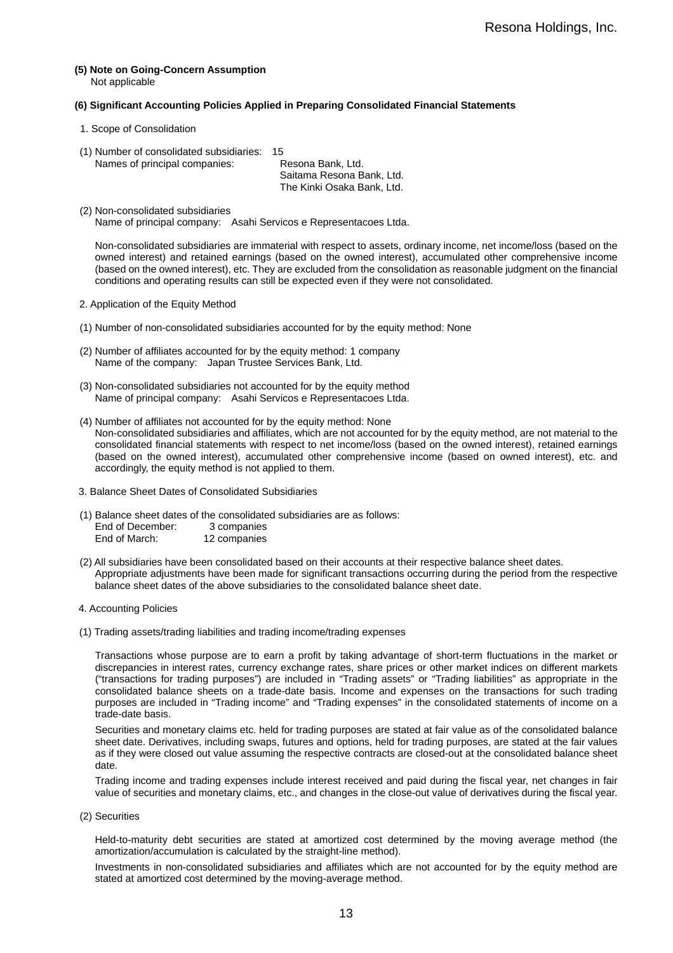**(5) Note on Going-Concern Assumption**  Not applicable

#### **(6) Significant Accounting Policies Applied in Preparing Consolidated Financial Statements**

- 1. Scope of Consolidation
- (1) Number of consolidated subsidiaries: 15

Names of principal companies: Resona Bank, Ltd. Saitama Resona Bank, Ltd. The Kinki Osaka Bank, Ltd.

(2) Non-consolidated subsidiaries Name of principal company: Asahi Servicos e Representacoes Ltda.

Non-consolidated subsidiaries are immaterial with respect to assets, ordinary income, net income/loss (based on the owned interest) and retained earnings (based on the owned interest), accumulated other comprehensive income (based on the owned interest), etc. They are excluded from the consolidation as reasonable judgment on the financial conditions and operating results can still be expected even if they were not consolidated.

- 2. Application of the Equity Method
- (1) Number of non-consolidated subsidiaries accounted for by the equity method: None
- (2) Number of affiliates accounted for by the equity method: 1 company Name of the company: Japan Trustee Services Bank, Ltd.
- (3) Non-consolidated subsidiaries not accounted for by the equity method Name of principal company: Asahi Servicos e Representacoes Ltda.
- (4) Number of affiliates not accounted for by the equity method: None Non-consolidated subsidiaries and affiliates, which are not accounted for by the equity method, are not material to the consolidated financial statements with respect to net income/loss (based on the owned interest), retained earnings (based on the owned interest), accumulated other comprehensive income (based on owned interest), etc. and accordingly, the equity method is not applied to them.
- 3. Balance Sheet Dates of Consolidated Subsidiaries
- (1) Balance sheet dates of the consolidated subsidiaries are as follows: End of December: 3 companies<br>End of March: 12 companies 12 companies
- (2) All subsidiaries have been consolidated based on their accounts at their respective balance sheet dates. Appropriate adjustments have been made for significant transactions occurring during the period from the respective balance sheet dates of the above subsidiaries to the consolidated balance sheet date.
- 4. Accounting Policies
- (1) Trading assets/trading liabilities and trading income/trading expenses

Transactions whose purpose are to earn a profit by taking advantage of short-term fluctuations in the market or discrepancies in interest rates, currency exchange rates, share prices or other market indices on different markets ("transactions for trading purposes") are included in "Trading assets" or "Trading liabilities" as appropriate in the consolidated balance sheets on a trade-date basis. Income and expenses on the transactions for such trading purposes are included in "Trading income" and "Trading expenses" in the consolidated statements of income on a trade-date basis.

Securities and monetary claims etc. held for trading purposes are stated at fair value as of the consolidated balance sheet date. Derivatives, including swaps, futures and options, held for trading purposes, are stated at the fair values as if they were closed out value assuming the respective contracts are closed-out at the consolidated balance sheet date.

Trading income and trading expenses include interest received and paid during the fiscal year, net changes in fair value of securities and monetary claims, etc., and changes in the close-out value of derivatives during the fiscal year.

(2) Securities

Held-to-maturity debt securities are stated at amortized cost determined by the moving average method (the amortization/accumulation is calculated by the straight-line method).

Investments in non-consolidated subsidiaries and affiliates which are not accounted for by the equity method are stated at amortized cost determined by the moving-average method.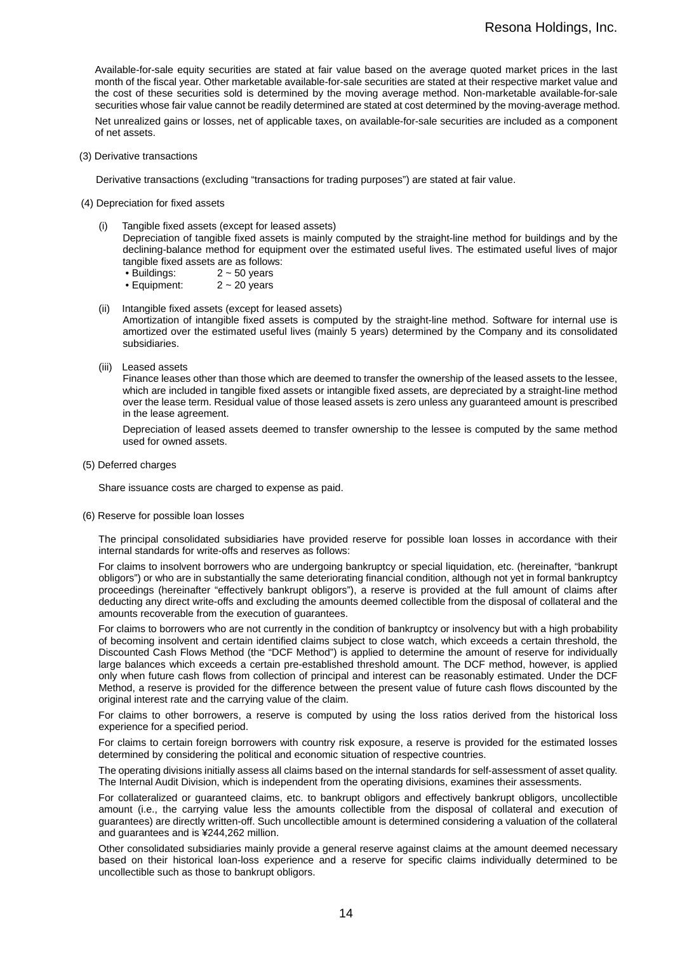Available-for-sale equity securities are stated at fair value based on the average quoted market prices in the last month of the fiscal year. Other marketable available-for-sale securities are stated at their respective market value and the cost of these securities sold is determined by the moving average method. Non-marketable available-for-sale securities whose fair value cannot be readily determined are stated at cost determined by the moving-average method.

Net unrealized gains or losses, net of applicable taxes, on available-for-sale securities are included as a component of net assets.

(3) Derivative transactions

Derivative transactions (excluding "transactions for trading purposes") are stated at fair value.

- (4) Depreciation for fixed assets
	- (i) Tangible fixed assets (except for leased assets) Depreciation of tangible fixed assets is mainly computed by the straight-line method for buildings and by the declining-balance method for equipment over the estimated useful lives. The estimated useful lives of major tangible fixed assets are as follows:
		- $\bullet$  Buildings:  $2 \sim 50$  years
		- Equipment: 2 ~ 20 years
	- (ii) Intangible fixed assets (except for leased assets)

Amortization of intangible fixed assets is computed by the straight-line method. Software for internal use is amortized over the estimated useful lives (mainly 5 years) determined by the Company and its consolidated subsidiaries.

(iii) Leased assets

Finance leases other than those which are deemed to transfer the ownership of the leased assets to the lessee, which are included in tangible fixed assets or intangible fixed assets, are depreciated by a straight-line method over the lease term. Residual value of those leased assets is zero unless any guaranteed amount is prescribed in the lease agreement.

Depreciation of leased assets deemed to transfer ownership to the lessee is computed by the same method used for owned assets.

(5) Deferred charges

Share issuance costs are charged to expense as paid.

(6) Reserve for possible loan losses

The principal consolidated subsidiaries have provided reserve for possible loan losses in accordance with their internal standards for write-offs and reserves as follows:

For claims to insolvent borrowers who are undergoing bankruptcy or special liquidation, etc. (hereinafter, "bankrupt obligors") or who are in substantially the same deteriorating financial condition, although not yet in formal bankruptcy proceedings (hereinafter "effectively bankrupt obligors"), a reserve is provided at the full amount of claims after deducting any direct write-offs and excluding the amounts deemed collectible from the disposal of collateral and the amounts recoverable from the execution of guarantees.

For claims to borrowers who are not currently in the condition of bankruptcy or insolvency but with a high probability of becoming insolvent and certain identified claims subject to close watch, which exceeds a certain threshold, the Discounted Cash Flows Method (the "DCF Method") is applied to determine the amount of reserve for individually large balances which exceeds a certain pre-established threshold amount. The DCF method, however, is applied only when future cash flows from collection of principal and interest can be reasonably estimated. Under the DCF Method, a reserve is provided for the difference between the present value of future cash flows discounted by the original interest rate and the carrying value of the claim.

For claims to other borrowers, a reserve is computed by using the loss ratios derived from the historical loss experience for a specified period.

For claims to certain foreign borrowers with country risk exposure, a reserve is provided for the estimated losses determined by considering the political and economic situation of respective countries.

The operating divisions initially assess all claims based on the internal standards for self-assessment of asset quality. The Internal Audit Division, which is independent from the operating divisions, examines their assessments.

For collateralized or guaranteed claims, etc. to bankrupt obligors and effectively bankrupt obligors, uncollectible amount (i.e., the carrying value less the amounts collectible from the disposal of collateral and execution of guarantees) are directly written-off. Such uncollectible amount is determined considering a valuation of the collateral and guarantees and is ¥244,262 million.

Other consolidated subsidiaries mainly provide a general reserve against claims at the amount deemed necessary based on their historical loan-loss experience and a reserve for specific claims individually determined to be uncollectible such as those to bankrupt obligors.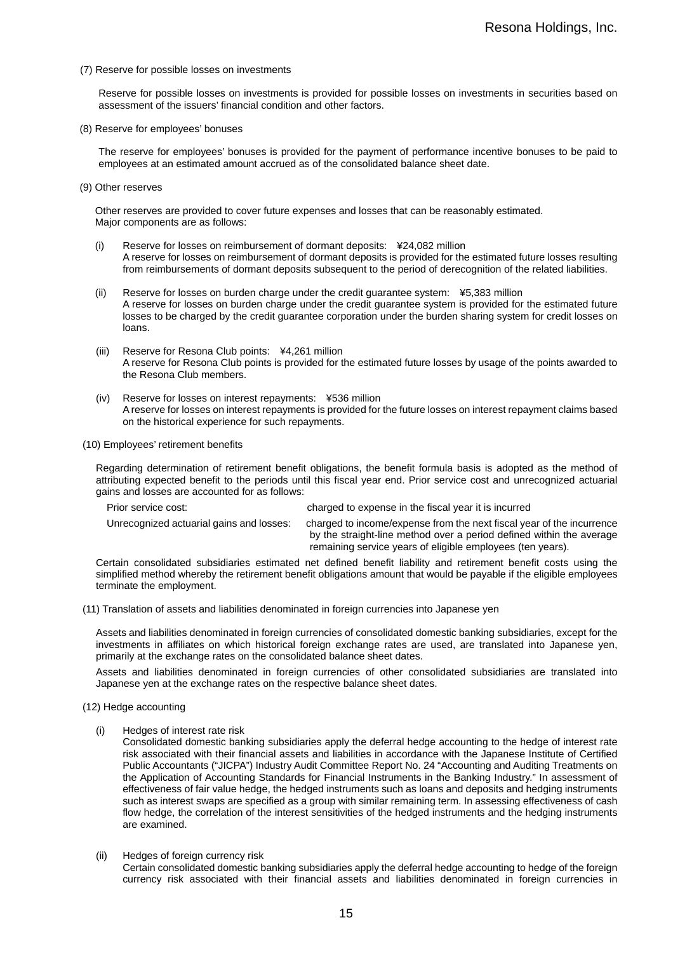(7) Reserve for possible losses on investments

Reserve for possible losses on investments is provided for possible losses on investments in securities based on assessment of the issuers' financial condition and other factors.

(8) Reserve for employees' bonuses

The reserve for employees' bonuses is provided for the payment of performance incentive bonuses to be paid to employees at an estimated amount accrued as of the consolidated balance sheet date.

(9) Other reserves

Other reserves are provided to cover future expenses and losses that can be reasonably estimated. Major components are as follows:

- (i) Reserve for losses on reimbursement of dormant deposits: ¥24,082 million A reserve for losses on reimbursement of dormant deposits is provided for the estimated future losses resulting from reimbursements of dormant deposits subsequent to the period of derecognition of the related liabilities.
- (ii) Reserve for losses on burden charge under the credit guarantee system: ¥5,383 million A reserve for losses on burden charge under the credit guarantee system is provided for the estimated future losses to be charged by the credit guarantee corporation under the burden sharing system for credit losses on loans.
- (iii) Reserve for Resona Club points: ¥4,261 million A reserve for Resona Club points is provided for the estimated future losses by usage of the points awarded to the Resona Club members.
- (iv) Reserve for losses on interest repayments: ¥536 million A reserve for losses on interest repayments is provided for the future losses on interest repayment claims based on the historical experience for such repayments.

(10) Employees' retirement benefits

Regarding determination of retirement benefit obligations, the benefit formula basis is adopted as the method of attributing expected benefit to the periods until this fiscal year end. Prior service cost and unrecognized actuarial gains and losses are accounted for as follows:

| Prior service cost:                      | charged to expense in the fiscal year it is incurred                                                                                                                                                        |
|------------------------------------------|-------------------------------------------------------------------------------------------------------------------------------------------------------------------------------------------------------------|
| Unrecognized actuarial gains and losses: | charged to income/expense from the next fiscal year of the incurrence<br>by the straight-line method over a period defined within the average<br>remaining service years of eligible employees (ten years). |

Certain consolidated subsidiaries estimated net defined benefit liability and retirement benefit costs using the simplified method whereby the retirement benefit obligations amount that would be payable if the eligible employees terminate the employment.

(11) Translation of assets and liabilities denominated in foreign currencies into Japanese yen

Assets and liabilities denominated in foreign currencies of consolidated domestic banking subsidiaries, except for the investments in affiliates on which historical foreign exchange rates are used, are translated into Japanese yen, primarily at the exchange rates on the consolidated balance sheet dates.

Assets and liabilities denominated in foreign currencies of other consolidated subsidiaries are translated into Japanese yen at the exchange rates on the respective balance sheet dates.

- (12) Hedge accounting
	- Hedges of interest rate risk

Consolidated domestic banking subsidiaries apply the deferral hedge accounting to the hedge of interest rate risk associated with their financial assets and liabilities in accordance with the Japanese Institute of Certified Public Accountants ("JICPA") Industry Audit Committee Report No. 24 "Accounting and Auditing Treatments on the Application of Accounting Standards for Financial Instruments in the Banking Industry." In assessment of effectiveness of fair value hedge, the hedged instruments such as loans and deposits and hedging instruments such as interest swaps are specified as a group with similar remaining term. In assessing effectiveness of cash flow hedge, the correlation of the interest sensitivities of the hedged instruments and the hedging instruments are examined.

(ii) Hedges of foreign currency risk

Certain consolidated domestic banking subsidiaries apply the deferral hedge accounting to hedge of the foreign currency risk associated with their financial assets and liabilities denominated in foreign currencies in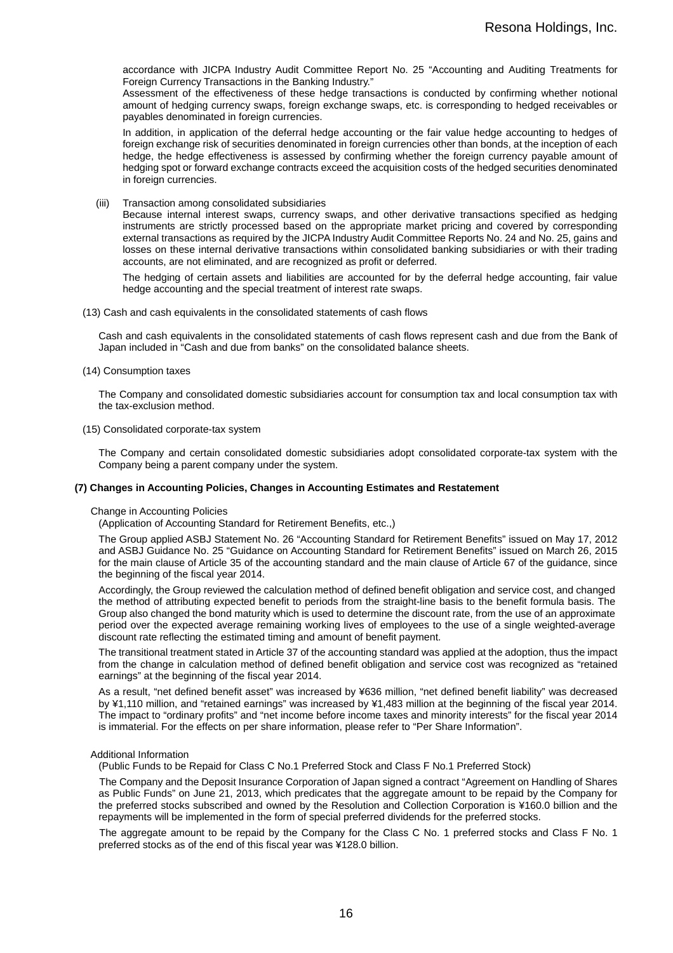accordance with JICPA Industry Audit Committee Report No. 25 "Accounting and Auditing Treatments for Foreign Currency Transactions in the Banking Industry."

Assessment of the effectiveness of these hedge transactions is conducted by confirming whether notional amount of hedging currency swaps, foreign exchange swaps, etc. is corresponding to hedged receivables or payables denominated in foreign currencies.

In addition, in application of the deferral hedge accounting or the fair value hedge accounting to hedges of foreign exchange risk of securities denominated in foreign currencies other than bonds, at the inception of each hedge, the hedge effectiveness is assessed by confirming whether the foreign currency payable amount of hedging spot or forward exchange contracts exceed the acquisition costs of the hedged securities denominated in foreign currencies.

(iii) Transaction among consolidated subsidiaries

Because internal interest swaps, currency swaps, and other derivative transactions specified as hedging instruments are strictly processed based on the appropriate market pricing and covered by corresponding external transactions as required by the JICPA Industry Audit Committee Reports No. 24 and No. 25, gains and losses on these internal derivative transactions within consolidated banking subsidiaries or with their trading accounts, are not eliminated, and are recognized as profit or deferred.

The hedging of certain assets and liabilities are accounted for by the deferral hedge accounting, fair value hedge accounting and the special treatment of interest rate swaps.

(13) Cash and cash equivalents in the consolidated statements of cash flows

Cash and cash equivalents in the consolidated statements of cash flows represent cash and due from the Bank of Japan included in "Cash and due from banks" on the consolidated balance sheets.

(14) Consumption taxes

The Company and consolidated domestic subsidiaries account for consumption tax and local consumption tax with the tax-exclusion method.

(15) Consolidated corporate-tax system

The Company and certain consolidated domestic subsidiaries adopt consolidated corporate-tax system with the Company being a parent company under the system.

#### **(7) Changes in Accounting Policies, Changes in Accounting Estimates and Restatement**

#### Change in Accounting Policies

(Application of Accounting Standard for Retirement Benefits, etc.,)

The Group applied ASBJ Statement No. 26 "Accounting Standard for Retirement Benefits" issued on May 17, 2012 and ASBJ Guidance No. 25 "Guidance on Accounting Standard for Retirement Benefits" issued on March 26, 2015 for the main clause of Article 35 of the accounting standard and the main clause of Article 67 of the guidance, since the beginning of the fiscal year 2014.

Accordingly, the Group reviewed the calculation method of defined benefit obligation and service cost, and changed the method of attributing expected benefit to periods from the straight-line basis to the benefit formula basis. The Group also changed the bond maturity which is used to determine the discount rate, from the use of an approximate period over the expected average remaining working lives of employees to the use of a single weighted-average discount rate reflecting the estimated timing and amount of benefit payment.

The transitional treatment stated in Article 37 of the accounting standard was applied at the adoption, thus the impact from the change in calculation method of defined benefit obligation and service cost was recognized as "retained earnings" at the beginning of the fiscal year 2014.

As a result, "net defined benefit asset" was increased by ¥636 million, "net defined benefit liability" was decreased by ¥1,110 million, and "retained earnings" was increased by ¥1,483 million at the beginning of the fiscal year 2014. The impact to "ordinary profits" and "net income before income taxes and minority interests" for the fiscal year 2014 is immaterial. For the effects on per share information, please refer to "Per Share Information".

#### Additional Information

(Public Funds to be Repaid for Class C No.1 Preferred Stock and Class F No.1 Preferred Stock)

The Company and the Deposit Insurance Corporation of Japan signed a contract "Agreement on Handling of Shares as Public Funds" on June 21, 2013, which predicates that the aggregate amount to be repaid by the Company for the preferred stocks subscribed and owned by the Resolution and Collection Corporation is ¥160.0 billion and the repayments will be implemented in the form of special preferred dividends for the preferred stocks.

The aggregate amount to be repaid by the Company for the Class C No. 1 preferred stocks and Class F No. 1 preferred stocks as of the end of this fiscal year was ¥128.0 billion.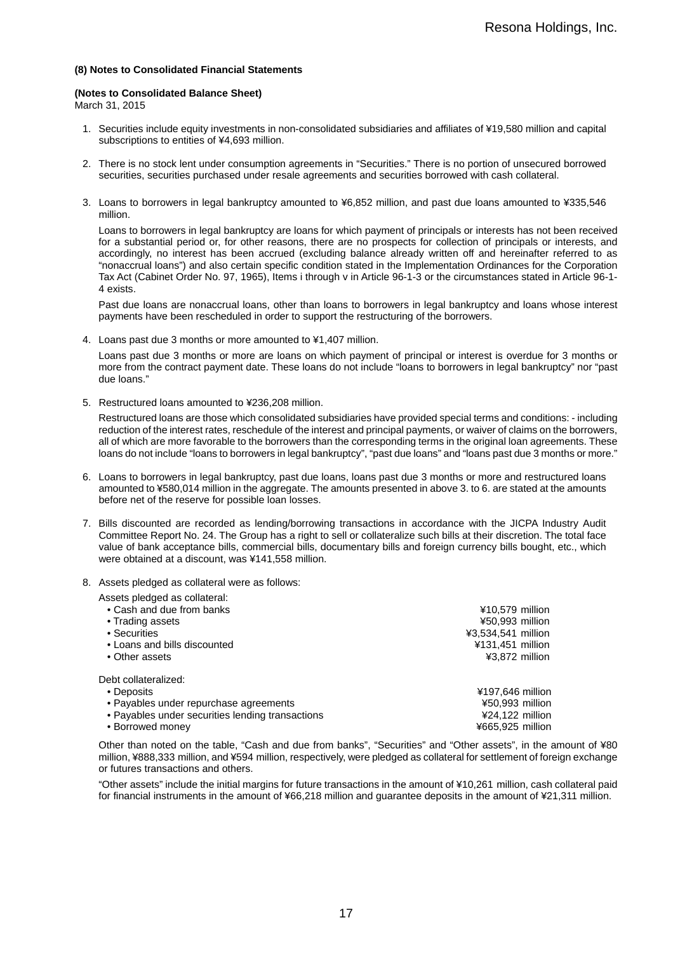#### **(8) Notes to Consolidated Financial Statements**

#### **(Notes to Consolidated Balance Sheet)**

March 31, 2015

- 1. Securities include equity investments in non-consolidated subsidiaries and affiliates of ¥19,580 million and capital subscriptions to entities of ¥4,693 million.
- 2. There is no stock lent under consumption agreements in "Securities." There is no portion of unsecured borrowed securities, securities purchased under resale agreements and securities borrowed with cash collateral.
- 3. Loans to borrowers in legal bankruptcy amounted to ¥6,852 million, and past due loans amounted to ¥335,546 million.

Loans to borrowers in legal bankruptcy are loans for which payment of principals or interests has not been received for a substantial period or, for other reasons, there are no prospects for collection of principals or interests, and accordingly, no interest has been accrued (excluding balance already written off and hereinafter referred to as "nonaccrual loans") and also certain specific condition stated in the Implementation Ordinances for the Corporation Tax Act (Cabinet Order No. 97, 1965), Items i through v in Article 96-1-3 or the circumstances stated in Article 96-1- 4 exists.

Past due loans are nonaccrual loans, other than loans to borrowers in legal bankruptcy and loans whose interest payments have been rescheduled in order to support the restructuring of the borrowers.

4. Loans past due 3 months or more amounted to ¥1,407 million.

Loans past due 3 months or more are loans on which payment of principal or interest is overdue for 3 months or more from the contract payment date. These loans do not include "loans to borrowers in legal bankruptcy" nor "past due loans."

5. Restructured loans amounted to ¥236,208 million.

Restructured loans are those which consolidated subsidiaries have provided special terms and conditions: - including reduction of the interest rates, reschedule of the interest and principal payments, or waiver of claims on the borrowers, all of which are more favorable to the borrowers than the corresponding terms in the original loan agreements. These loans do not include "loans to borrowers in legal bankruptcy", "past due loans" and "loans past due 3 months or more."

- 6. Loans to borrowers in legal bankruptcy, past due loans, loans past due 3 months or more and restructured loans amounted to ¥580,014 million in the aggregate. The amounts presented in above 3. to 6. are stated at the amounts before net of the reserve for possible loan losses.
- 7. Bills discounted are recorded as lending/borrowing transactions in accordance with the JICPA Industry Audit Committee Report No. 24. The Group has a right to sell or collateralize such bills at their discretion. The total face value of bank acceptance bills, commercial bills, documentary bills and foreign currency bills bought, etc., which were obtained at a discount, was ¥141,558 million.
- 8. Assets pledged as collateral were as follows:

| Assets pledged as collateral:                    |                    |
|--------------------------------------------------|--------------------|
| • Cash and due from banks                        | ¥10,579 million    |
| • Trading assets                                 | ¥50,993 million    |
| • Securities                                     | ¥3,534,541 million |
| • Loans and bills discounted                     | ¥131,451 million   |
| • Other assets                                   | ¥3,872 million     |
| Debt collateralized:                             |                    |
| • Deposits                                       | ¥197,646 million   |
| • Payables under repurchase agreements           | ¥50,993 million    |
| • Payables under securities lending transactions | $424.122$ million  |
| • Borrowed money                                 | ¥665,925 million   |

Other than noted on the table, "Cash and due from banks", "Securities" and "Other assets", in the amount of ¥80 million, ¥888,333 million, and ¥594 million, respectively, were pledged as collateral for settlement of foreign exchange or futures transactions and others.

"Other assets" include the initial margins for future transactions in the amount of ¥10,261 million, cash collateral paid for financial instruments in the amount of ¥66,218 million and guarantee deposits in the amount of ¥21,311 million.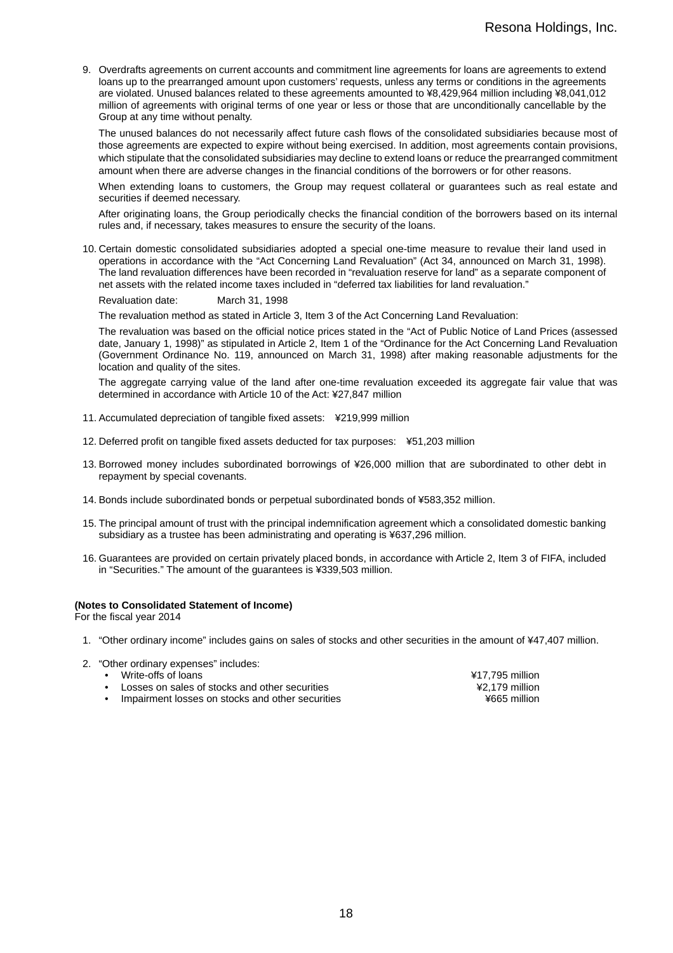9. Overdrafts agreements on current accounts and commitment line agreements for loans are agreements to extend loans up to the prearranged amount upon customers' requests, unless any terms or conditions in the agreements are violated. Unused balances related to these agreements amounted to ¥8,429,964 million including ¥8,041,012 million of agreements with original terms of one year or less or those that are unconditionally cancellable by the Group at any time without penalty.

The unused balances do not necessarily affect future cash flows of the consolidated subsidiaries because most of those agreements are expected to expire without being exercised. In addition, most agreements contain provisions, which stipulate that the consolidated subsidiaries may decline to extend loans or reduce the prearranged commitment amount when there are adverse changes in the financial conditions of the borrowers or for other reasons.

When extending loans to customers, the Group may request collateral or guarantees such as real estate and securities if deemed necessary.

After originating loans, the Group periodically checks the financial condition of the borrowers based on its internal rules and, if necessary, takes measures to ensure the security of the loans.

10. Certain domestic consolidated subsidiaries adopted a special one-time measure to revalue their land used in operations in accordance with the "Act Concerning Land Revaluation" (Act 34, announced on March 31, 1998). The land revaluation differences have been recorded in "revaluation reserve for land" as a separate component of net assets with the related income taxes included in "deferred tax liabilities for land revaluation."

Revaluation date: March 31, 1998

The revaluation method as stated in Article 3, Item 3 of the Act Concerning Land Revaluation:

The revaluation was based on the official notice prices stated in the "Act of Public Notice of Land Prices (assessed date, January 1, 1998)" as stipulated in Article 2, Item 1 of the "Ordinance for the Act Concerning Land Revaluation (Government Ordinance No. 119, announced on March 31, 1998) after making reasonable adjustments for the location and quality of the sites.

The aggregate carrying value of the land after one-time revaluation exceeded its aggregate fair value that was determined in accordance with Article 10 of the Act: ¥27,847 million

- 11. Accumulated depreciation of tangible fixed assets: ¥219,999 million
- 12. Deferred profit on tangible fixed assets deducted for tax purposes: ¥51,203 million
- 13. Borrowed money includes subordinated borrowings of ¥26,000 million that are subordinated to other debt in repayment by special covenants.
- 14. Bonds include subordinated bonds or perpetual subordinated bonds of ¥583,352 million.
- 15. The principal amount of trust with the principal indemnification agreement which a consolidated domestic banking subsidiary as a trustee has been administrating and operating is ¥637,296 million.
- 16. Guarantees are provided on certain privately placed bonds, in accordance with Article 2, Item 3 of FIFA, included in "Securities." The amount of the guarantees is ¥339,503 million.

#### **(Notes to Consolidated Statement of Income)**

For the fiscal year 2014

- 1. "Other ordinary income" includes gains on sales of stocks and other securities in the amount of ¥47,407 million.
- 2. "Other ordinary expenses" includes:
	-
	- Write-offs of loans<br>
	Losses on sales of stocks and other securities<br>  $\frac{417,795 \text{ million}}{42.179 \text{ million}}$
	- Losses on sales of stocks and other securities  $\frac{42,179 \text{ million}}{4665 \text{ million}}$ • Impairment losses on stocks and other securities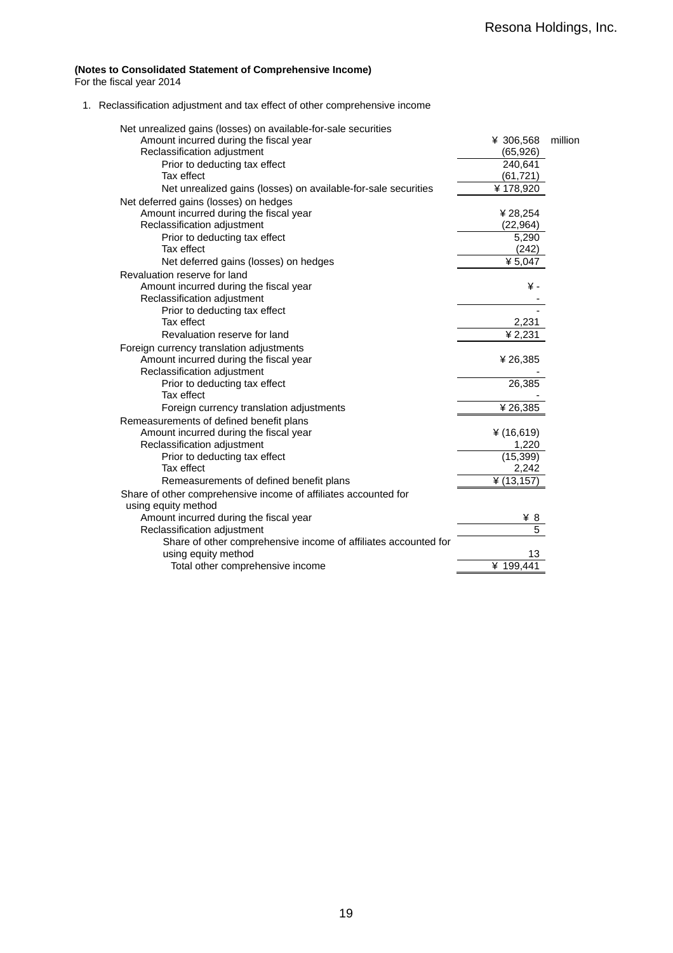#### **(Notes to Consolidated Statement of Comprehensive Income)**

For the fiscal year 2014

1. Reclassification adjustment and tax effect of other comprehensive income

| Net unrealized gains (losses) on available-for-sale securities  |               |         |
|-----------------------------------------------------------------|---------------|---------|
| Amount incurred during the fiscal year                          | ¥ 306,568     | million |
| Reclassification adjustment                                     | (65, 926)     |         |
| Prior to deducting tax effect                                   | 240,641       |         |
| Tax effect                                                      | (61, 721)     |         |
| Net unrealized gains (losses) on available-for-sale securities  | ¥178,920      |         |
| Net deferred gains (losses) on hedges                           |               |         |
| Amount incurred during the fiscal year                          | ¥ 28,254      |         |
| Reclassification adjustment                                     | (22, 964)     |         |
| Prior to deducting tax effect                                   | 5,290         |         |
| Tax effect                                                      | (242)         |         |
| Net deferred gains (losses) on hedges                           | ¥ $5,047$     |         |
| Revaluation reserve for land                                    |               |         |
| Amount incurred during the fiscal year                          | ¥-            |         |
| Reclassification adjustment                                     |               |         |
| Prior to deducting tax effect                                   |               |         |
| Tax effect                                                      | 2,231         |         |
| Revaluation reserve for land                                    | ¥ 2,231       |         |
| Foreign currency translation adjustments                        |               |         |
| Amount incurred during the fiscal year                          | ¥26,385       |         |
| Reclassification adjustment                                     |               |         |
| Prior to deducting tax effect                                   | 26,385        |         |
| Tax effect                                                      |               |         |
| Foreign currency translation adjustments                        | ¥26,385       |         |
| Remeasurements of defined benefit plans                         |               |         |
| Amount incurred during the fiscal year                          | ¥ $(16, 619)$ |         |
| Reclassification adjustment                                     | 1,220         |         |
| Prior to deducting tax effect                                   | (15, 399)     |         |
| Tax effect                                                      | 2,242         |         |
| Remeasurements of defined benefit plans                         | ¥ $(13, 157)$ |         |
| Share of other comprehensive income of affiliates accounted for |               |         |
| using equity method                                             |               |         |
| Amount incurred during the fiscal year                          | 48            |         |
| Reclassification adjustment                                     | 5             |         |
| Share of other comprehensive income of affiliates accounted for |               |         |
| using equity method                                             | 13            |         |
| Total other comprehensive income                                | ¥ 199,441     |         |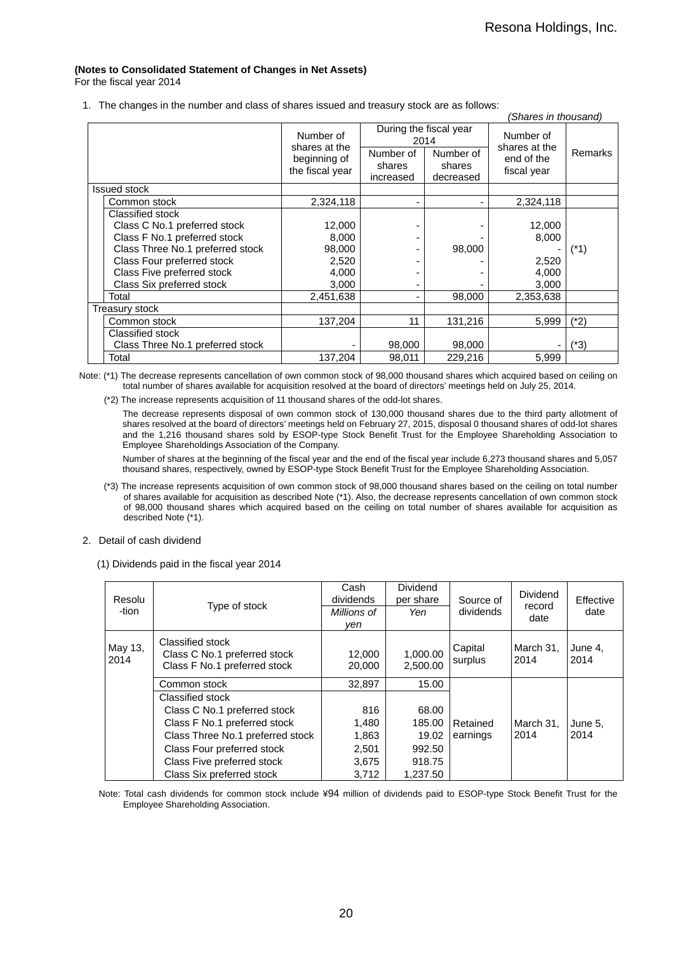## **(Notes to Consolidated Statement of Changes in Net Assets)**

For the fiscal year 2014

1. The changes in the number and class of shares issued and treasury stock are as follows:

|                                  |                                                  |                                  |                                  | (Shares in thousand)                       |         |
|----------------------------------|--------------------------------------------------|----------------------------------|----------------------------------|--------------------------------------------|---------|
|                                  | During the fiscal year<br>Number of<br>2014      |                                  |                                  | Number of                                  |         |
|                                  | shares at the<br>beginning of<br>the fiscal year | Number of<br>shares<br>increased | Number of<br>shares<br>decreased | shares at the<br>end of the<br>fiscal year | Remarks |
| <b>Issued stock</b>              |                                                  |                                  |                                  |                                            |         |
| Common stock                     | 2,324,118                                        | ٠                                |                                  | 2,324,118                                  |         |
| Classified stock                 |                                                  |                                  |                                  |                                            |         |
| Class C No.1 preferred stock     | 12,000                                           |                                  |                                  | 12,000                                     |         |
| Class F No.1 preferred stock     | 8,000                                            |                                  |                                  | 8,000                                      |         |
| Class Three No.1 preferred stock | 98,000                                           |                                  | 98,000                           |                                            | (*1)    |
| Class Four preferred stock       | 2,520                                            |                                  |                                  | 2,520                                      |         |
| Class Five preferred stock       | 4,000                                            |                                  |                                  | 4,000                                      |         |
| Class Six preferred stock        | 3,000                                            |                                  |                                  | 3,000                                      |         |
| Total                            | 2,451,638                                        | ٠                                | 98,000                           | 2,353,638                                  |         |
| Treasury stock                   |                                                  |                                  |                                  |                                            |         |
| Common stock                     | 137,204                                          | 11                               | 131,216                          | 5,999                                      | $(*2)$  |
| Classified stock                 |                                                  |                                  |                                  |                                            |         |
| Class Three No.1 preferred stock |                                                  | 98,000                           | 98,000                           |                                            | (*3)    |
| Total                            | 137,204                                          | 98,011                           | 229,216                          | 5,999                                      |         |

 Note: (\*1) The decrease represents cancellation of own common stock of 98,000 thousand shares which acquired based on ceiling on total number of shares available for acquisition resolved at the board of directors' meetings held on July 25, 2014.

(\*2) The increase represents acquisition of 11 thousand shares of the odd-lot shares.

The decrease represents disposal of own common stock of 130,000 thousand shares due to the third party allotment of shares resolved at the board of directors' meetings held on February 27, 2015, disposal 0 thousand shares of odd-lot shares and the 1,216 thousand shares sold by ESOP-type Stock Benefit Trust for the Employee Shareholding Association to Employee Shareholdings Association of the Company.

Number of shares at the beginning of the fiscal year and the end of the fiscal year include 6,273 thousand shares and 5,057 thousand shares, respectively, owned by ESOP-type Stock Benefit Trust for the Employee Shareholding Association.

(\*3) The increase represents acquisition of own common stock of 98,000 thousand shares based on the ceiling on total number of shares available for acquisition as described Note (\*1). Also, the decrease represents cancellation of own common stock of 98,000 thousand shares which acquired based on the ceiling on total number of shares available for acquisition as described Note (\*1).

#### 2. Detail of cash dividend

(1) Dividends paid in the fiscal year 2014

| Resolu<br>-tion | Type of stock                                                                    | Cash<br>dividends<br>Millions of<br>ven | <b>Dividend</b><br>per share<br>Yen | Source of<br>dividends | <b>Dividend</b><br>record<br>date | Effective<br>date |
|-----------------|----------------------------------------------------------------------------------|-----------------------------------------|-------------------------------------|------------------------|-----------------------------------|-------------------|
| May 13,<br>2014 | Classified stock<br>Class C No.1 preferred stock<br>Class F No.1 preferred stock | 12,000<br>20,000                        | 1,000.00<br>2,500.00                | Capital<br>surplus     | March 31,<br>2014                 | June 4,<br>2014   |
|                 | Common stock                                                                     | 32.897                                  | 15.00                               |                        |                                   |                   |
|                 | Classified stock                                                                 |                                         |                                     |                        |                                   |                   |
|                 | Class C No.1 preferred stock                                                     | 816                                     | 68.00                               |                        |                                   |                   |
|                 | Class F No.1 preferred stock                                                     | 1,480                                   | 185.00                              | Retained               | March 31,                         | June 5.           |
|                 | Class Three No.1 preferred stock                                                 | 1,863                                   | 19.02                               | earnings               | 2014                              | 2014              |
|                 | Class Four preferred stock                                                       | 2,501                                   | 992.50                              |                        |                                   |                   |
|                 | Class Five preferred stock                                                       | 3,675                                   | 918.75                              |                        |                                   |                   |
|                 | Class Six preferred stock                                                        | 3.712                                   | 1.237.50                            |                        |                                   |                   |

Note: Total cash dividends for common stock include ¥94 million of dividends paid to ESOP-type Stock Benefit Trust for the Employee Shareholding Association.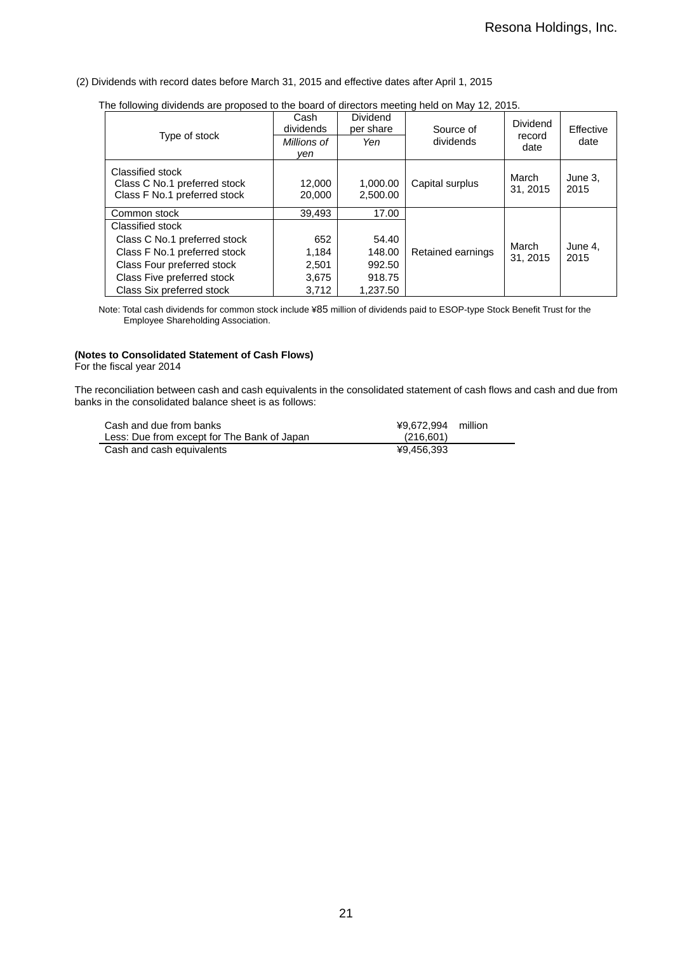#### (2) Dividends with record dates before March 31, 2015 and effective dates after April 1, 2015

| The following dividends are proposed to the board of directors meeting held on May 12, 2013.<br>Type of stock | Cash<br>dividends<br>Millions of<br>ven | <b>Dividend</b><br>per share<br>Yen | Source of<br>dividends | Dividend<br>record<br>date | Effective<br>date |
|---------------------------------------------------------------------------------------------------------------|-----------------------------------------|-------------------------------------|------------------------|----------------------------|-------------------|
| Classified stock<br>Class C No.1 preferred stock<br>Class F No.1 preferred stock                              | 12,000<br>20,000                        | 1,000.00<br>2.500.00                | Capital surplus        | March<br>31, 2015          | June 3.<br>2015   |
| Common stock                                                                                                  | 39.493                                  | 17.00                               |                        |                            |                   |
| Classified stock                                                                                              |                                         |                                     |                        |                            |                   |
| Class C No.1 preferred stock                                                                                  | 652                                     | 54.40                               |                        | March                      |                   |
| Class F No.1 preferred stock                                                                                  | 1.184                                   | 148.00                              | Retained earnings      | 31.2015                    | June 4.<br>2015   |
| Class Four preferred stock                                                                                    | 2,501                                   | 992.50                              |                        |                            |                   |
| Class Five preferred stock                                                                                    | 3,675                                   | 918.75                              |                        |                            |                   |
| Class Six preferred stock                                                                                     | 3,712                                   | 1.237.50                            |                        |                            |                   |

The following dividends are proposed to the board of directors meeting held on May 12, 2015.

Note: Total cash dividends for common stock include ¥85 million of dividends paid to ESOP-type Stock Benefit Trust for the Employee Shareholding Association.

#### **(Notes to Consolidated Statement of Cash Flows)**

For the fiscal year 2014

The reconciliation between cash and cash equivalents in the consolidated statement of cash flows and cash and due from banks in the consolidated balance sheet is as follows:

| Cash and due from banks                     | ¥9.672.994 million |
|---------------------------------------------|--------------------|
| Less: Due from except for The Bank of Japan | (216.601)          |
| Cash and cash equivalents                   | ¥9.456.393         |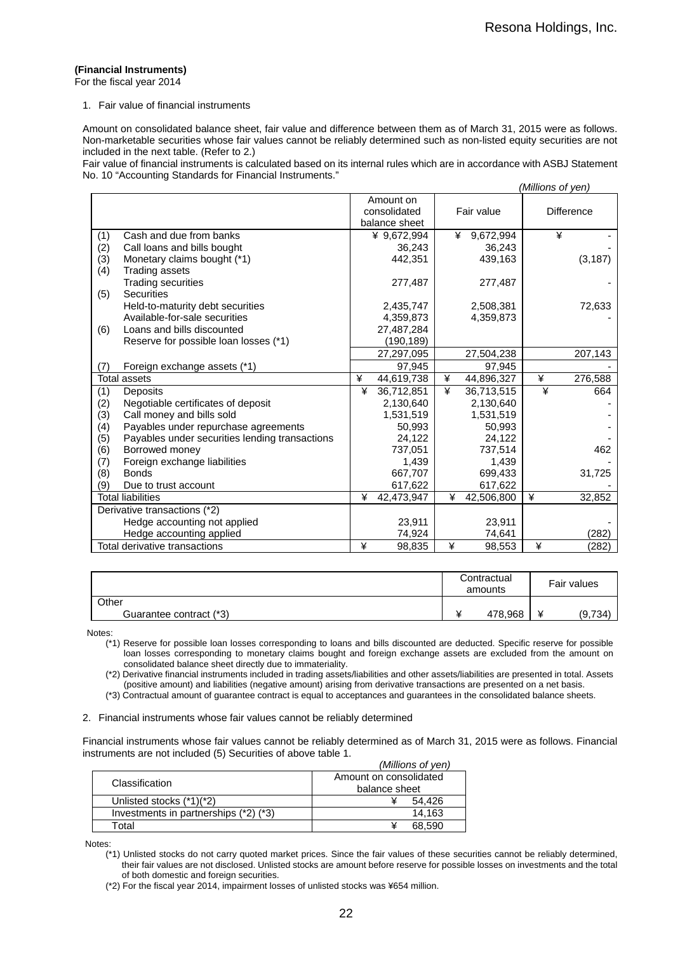#### **(Financial Instruments)**

For the fiscal year 2014

#### 1. Fair value of financial instruments

Amount on consolidated balance sheet, fair value and difference between them as of March 31, 2015 were as follows. Non-marketable securities whose fair values cannot be reliably determined such as non-listed equity securities are not included in the next table. (Refer to 2.)

Fair value of financial instruments is calculated based on its internal rules which are in accordance with ASBJ Statement No. 10 "Accounting Standards for Financial Instruments."

|     |                                                |   |               |   |            |   | (Millions of yen) |
|-----|------------------------------------------------|---|---------------|---|------------|---|-------------------|
|     |                                                |   | Amount on     |   |            |   |                   |
|     |                                                |   | consolidated  |   | Fair value |   | <b>Difference</b> |
|     |                                                |   | balance sheet |   |            |   |                   |
| (1) | Cash and due from banks                        |   | ¥ 9,672,994   | ¥ | 9,672,994  |   | ¥                 |
| (2) | Call loans and bills bought                    |   | 36,243        |   | 36,243     |   |                   |
| (3) | Monetary claims bought (*1)                    |   | 442,351       |   | 439,163    |   | (3, 187)          |
| (4) | Trading assets                                 |   |               |   |            |   |                   |
|     | <b>Trading securities</b>                      |   | 277,487       |   | 277,487    |   |                   |
| (5) | <b>Securities</b>                              |   |               |   |            |   |                   |
|     | Held-to-maturity debt securities               |   | 2,435,747     |   | 2,508,381  |   | 72,633            |
|     | Available-for-sale securities                  |   | 4,359,873     |   | 4,359,873  |   |                   |
| (6) | Loans and bills discounted                     |   | 27,487,284    |   |            |   |                   |
|     | Reserve for possible loan losses (*1)          |   | (190, 189)    |   |            |   |                   |
|     |                                                |   | 27,297,095    |   | 27,504,238 |   | 207,143           |
| (7) | Foreign exchange assets (*1)                   |   | 97,945        |   | 97,945     |   |                   |
|     | <b>Total assets</b>                            | ¥ | 44,619,738    | ¥ | 44,896,327 | ¥ | 276,588           |
| (1) | Deposits                                       | ¥ | 36,712,851    | ¥ | 36,713,515 | ¥ | 664               |
| (2) | Negotiable certificates of deposit             |   | 2,130,640     |   | 2,130,640  |   |                   |
| (3) | Call money and bills sold                      |   | 1,531,519     |   | 1,531,519  |   |                   |
| (4) | Payables under repurchase agreements           |   | 50,993        |   | 50,993     |   |                   |
| (5) | Payables under securities lending transactions |   | 24,122        |   | 24,122     |   |                   |
| (6) | Borrowed money                                 |   | 737,051       |   | 737,514    |   | 462               |
| (7) | Foreign exchange liabilities                   |   | 1,439         |   | 1,439      |   |                   |
| (8) | <b>Bonds</b>                                   |   | 667,707       |   | 699,433    |   | 31,725            |
| (9) | Due to trust account                           |   | 617,622       |   | 617,622    |   |                   |
|     | <b>Total liabilities</b>                       | ¥ | 42,473,947    | ¥ | 42,506,800 | ¥ | 32,852            |
|     | Derivative transactions (*2)                   |   |               |   |            |   |                   |
|     | Hedge accounting not applied                   |   | 23,911        |   | 23,911     |   |                   |
|     | Hedge accounting applied                       |   | 74,924        |   | 74,641     |   | (282)             |
|     | Total derivative transactions                  | ¥ | 98,835        | ¥ | 98,553     | ¥ | (282)             |

|                         | Contractual<br>amounts | Fair values |
|-------------------------|------------------------|-------------|
| Other                   |                        |             |
| Guarantee contract (*3) | 478,968                | (9,734)     |

Notes:

(\*1) Reserve for possible loan losses corresponding to loans and bills discounted are deducted. Specific reserve for possible loan losses corresponding to monetary claims bought and foreign exchange assets are excluded from the amount on consolidated balance sheet directly due to immateriality.

(\*2) Derivative financial instruments included in trading assets/liabilities and other assets/liabilities are presented in total. Assets (positive amount) and liabilities (negative amount) arising from derivative transactions are presented on a net basis.

(\*3) Contractual amount of guarantee contract is equal to acceptances and guarantees in the consolidated balance sheets.

2. Financial instruments whose fair values cannot be reliably determined

Financial instruments whose fair values cannot be reliably determined as of March 31, 2015 were as follows. Financial instruments are not included (5) Securities of above table 1. *(Millions of yen)* 

|  |                                       | ( <i>IVIIIIIOHS OF VEH)</i> |  |  |  |
|--|---------------------------------------|-----------------------------|--|--|--|
|  | Classification                        | Amount on consolidated      |  |  |  |
|  |                                       | balance sheet               |  |  |  |
|  | Unlisted stocks (*1)(*2)              | 54.426                      |  |  |  |
|  | Investments in partnerships (*2) (*3) | 14.163                      |  |  |  |
|  | Гоtal                                 | 68.590                      |  |  |  |

Notes:

(\*1) Unlisted stocks do not carry quoted market prices. Since the fair values of these securities cannot be reliably determined, their fair values are not disclosed. Unlisted stocks are amount before reserve for possible losses on investments and the total of both domestic and foreign securities.

(\*2) For the fiscal year 2014, impairment losses of unlisted stocks was ¥654 million.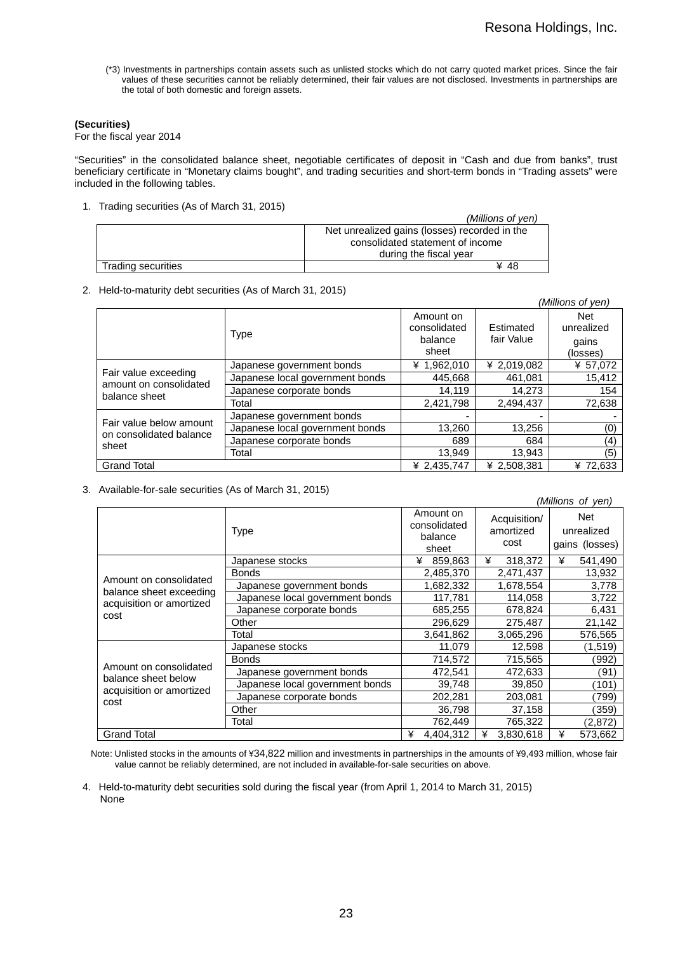(\*3) Investments in partnerships contain assets such as unlisted stocks which do not carry quoted market prices. Since the fair values of these securities cannot be reliably determined, their fair values are not disclosed. Investments in partnerships are the total of both domestic and foreign assets.

#### **(Securities)**

For the fiscal year 2014

"Securities" in the consolidated balance sheet, negotiable certificates of deposit in "Cash and due from banks", trust beneficiary certificate in "Monetary claims bought", and trading securities and short-term bonds in "Trading assets" were included in the following tables.

1. Trading securities (As of March 31, 2015)

|                    | (Millions of ven)                             |
|--------------------|-----------------------------------------------|
|                    | Net unrealized gains (losses) recorded in the |
|                    | consolidated statement of income              |
|                    | during the fiscal year                        |
| Trading securities | ¥ 48                                          |

2. Held-to-maturity debt securities (As of March 31, 2015)

|                                                |                                 |                                               |                         | (Millions of yen)                      |
|------------------------------------------------|---------------------------------|-----------------------------------------------|-------------------------|----------------------------------------|
|                                                | Type                            | Amount on<br>consolidated<br>balance<br>sheet | Estimated<br>fair Value | Net<br>unrealized<br>qains<br>(losses) |
|                                                | Japanese government bonds       | ¥ 1,962,010                                   | ¥ 2,019,082             | ¥ 57,072                               |
| Fair value exceeding<br>amount on consolidated | Japanese local government bonds | 445,668                                       | 461.081                 | 15,412                                 |
| balance sheet                                  | Japanese corporate bonds        | 14.119                                        | 14.273                  | 154                                    |
|                                                | Total                           | 2,421,798                                     | 2,494,437               | 72,638                                 |
| Fair value below amount                        | Japanese government bonds       |                                               |                         |                                        |
| on consolidated balance                        | Japanese local government bonds | 13,260                                        | 13,256                  | (0)                                    |
| sheet                                          | Japanese corporate bonds        | 689                                           | 684                     | (4)                                    |
|                                                | Total                           | 13,949                                        | 13,943                  | (5)                                    |
| <b>Grand Total</b>                             |                                 | ¥ 2,435,747                                   | ¥ 2,508,381             | ¥ 72,633                               |

3. Available-for-sale securities (As of March 31, 2015)

|                                                     |                                 |                                               |                                   | (Millions of yen)                   |
|-----------------------------------------------------|---------------------------------|-----------------------------------------------|-----------------------------------|-------------------------------------|
|                                                     | <b>Type</b>                     | Amount on<br>consolidated<br>balance<br>sheet | Acquisition/<br>amortized<br>cost | Net<br>unrealized<br>gains (losses) |
|                                                     | Japanese stocks                 | 859,863<br>¥                                  | ¥<br>318,372                      | 541,490<br>¥                        |
|                                                     | <b>Bonds</b>                    | 2,485,370                                     | 2,471,437                         | 13,932                              |
| Amount on consolidated                              | Japanese government bonds       | 1,682,332                                     | 1,678,554                         | 3,778                               |
| balance sheet exceeding<br>acquisition or amortized | Japanese local government bonds | 117,781                                       | 114,058                           | 3,722                               |
| cost                                                | Japanese corporate bonds        | 685,255                                       | 678,824                           | 6,431                               |
|                                                     | Other                           | 296,629                                       | 275,487                           | 21,142                              |
|                                                     | Total                           | 3,641,862                                     | 3,065,296                         | 576,565                             |
|                                                     | Japanese stocks                 | 11,079                                        | 12,598                            | (1,519)                             |
|                                                     | <b>Bonds</b>                    | 714,572                                       | 715,565                           | ´992)                               |
| Amount on consolidated                              | Japanese government bonds       | 472,541                                       | 472,633                           | (91)                                |
| balance sheet below<br>acquisition or amortized     | Japanese local government bonds | 39,748                                        | 39,850                            | $^{\prime}$ 101)                    |
| cost                                                | Japanese corporate bonds        | 202,281                                       | 203,081                           | 799)                                |
|                                                     | Other                           | 36,798                                        | 37,158                            | (359)                               |
|                                                     | Total                           | 762,449                                       | 765,322                           | (2,872)                             |
| <b>Grand Total</b>                                  |                                 | ¥<br>4,404,312                                | 3,830,618<br>¥                    | ¥<br>573,662                        |

Note: Unlisted stocks in the amounts of ¥34,822 million and investments in partnerships in the amounts of ¥9,493 million, whose fair value cannot be reliably determined, are not included in available-for-sale securities on above.

4. Held-to-maturity debt securities sold during the fiscal year (from April 1, 2014 to March 31, 2015) None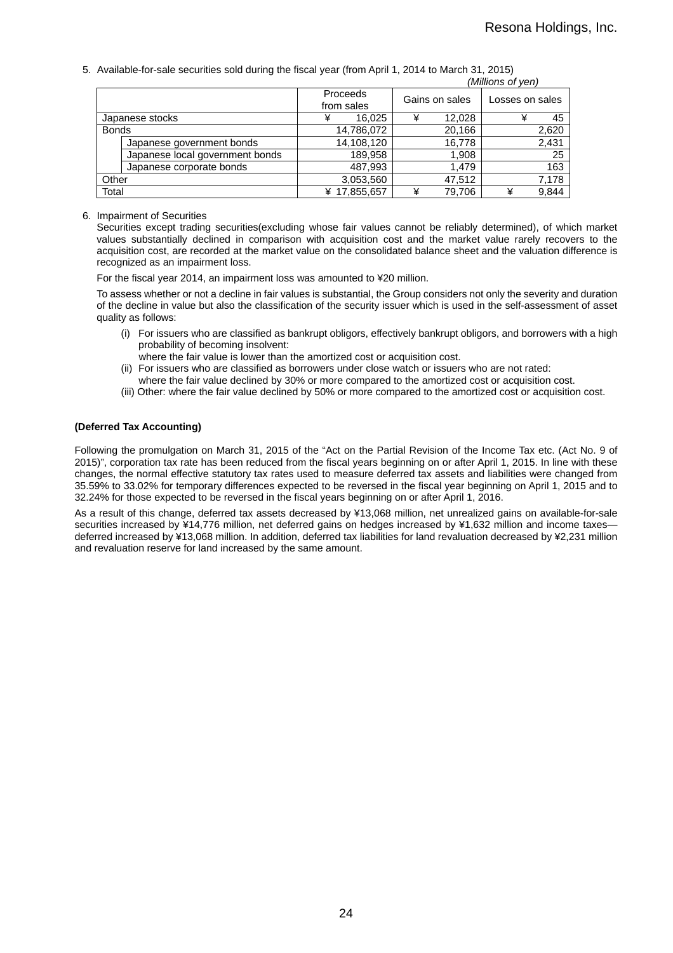5. Available-for-sale securities sold during the fiscal year (from April 1, 2014 to March 31, 2015)

|              |                                 |                               |              |   |                | (Millions of yen) |       |
|--------------|---------------------------------|-------------------------------|--------------|---|----------------|-------------------|-------|
|              |                                 | <b>Proceeds</b><br>from sales |              |   | Gains on sales | Losses on sales   |       |
|              | Japanese stocks                 | ¥                             | 16,025       | ¥ | 12,028         | ¥                 | 45    |
| <b>Bonds</b> |                                 |                               | 14,786,072   |   | 20,166         |                   | 2,620 |
|              | Japanese government bonds       |                               | 14,108,120   |   | 16,778         |                   | 2,431 |
|              | Japanese local government bonds |                               | 189,958      |   | 1,908          |                   | 25    |
|              | Japanese corporate bonds        |                               | 487,993      |   | 1.479          |                   | 163   |
| Other        |                                 |                               | 3,053,560    |   | 47,512         |                   | 7,178 |
| Total        |                                 |                               | ¥ 17,855,657 | ¥ | 79.706         | ¥                 | 9.844 |

6. Impairment of Securities

Securities except trading securities(excluding whose fair values cannot be reliably determined), of which market values substantially declined in comparison with acquisition cost and the market value rarely recovers to the acquisition cost, are recorded at the market value on the consolidated balance sheet and the valuation difference is recognized as an impairment loss.

For the fiscal year 2014, an impairment loss was amounted to ¥20 million.

To assess whether or not a decline in fair values is substantial, the Group considers not only the severity and duration of the decline in value but also the classification of the security issuer which is used in the self-assessment of asset quality as follows:

- (i) For issuers who are classified as bankrupt obligors, effectively bankrupt obligors, and borrowers with a high probability of becoming insolvent:
	- where the fair value is lower than the amortized cost or acquisition cost.
- (ii) For issuers who are classified as borrowers under close watch or issuers who are not rated:
- where the fair value declined by 30% or more compared to the amortized cost or acquisition cost.
- (iii) Other: where the fair value declined by 50% or more compared to the amortized cost or acquisition cost.

#### **(Deferred Tax Accounting)**

Following the promulgation on March 31, 2015 of the "Act on the Partial Revision of the Income Tax etc. (Act No. 9 of 2015)", corporation tax rate has been reduced from the fiscal years beginning on or after April 1, 2015. In line with these changes, the normal effective statutory tax rates used to measure deferred tax assets and liabilities were changed from 35.59% to 33.02% for temporary differences expected to be reversed in the fiscal year beginning on April 1, 2015 and to 32.24% for those expected to be reversed in the fiscal years beginning on or after April 1, 2016.

As a result of this change, deferred tax assets decreased by ¥13,068 million, net unrealized gains on available-for-sale securities increased by ¥14,776 million, net deferred gains on hedges increased by ¥1,632 million and income taxes deferred increased by ¥13,068 million. In addition, deferred tax liabilities for land revaluation decreased by ¥2,231 million and revaluation reserve for land increased by the same amount.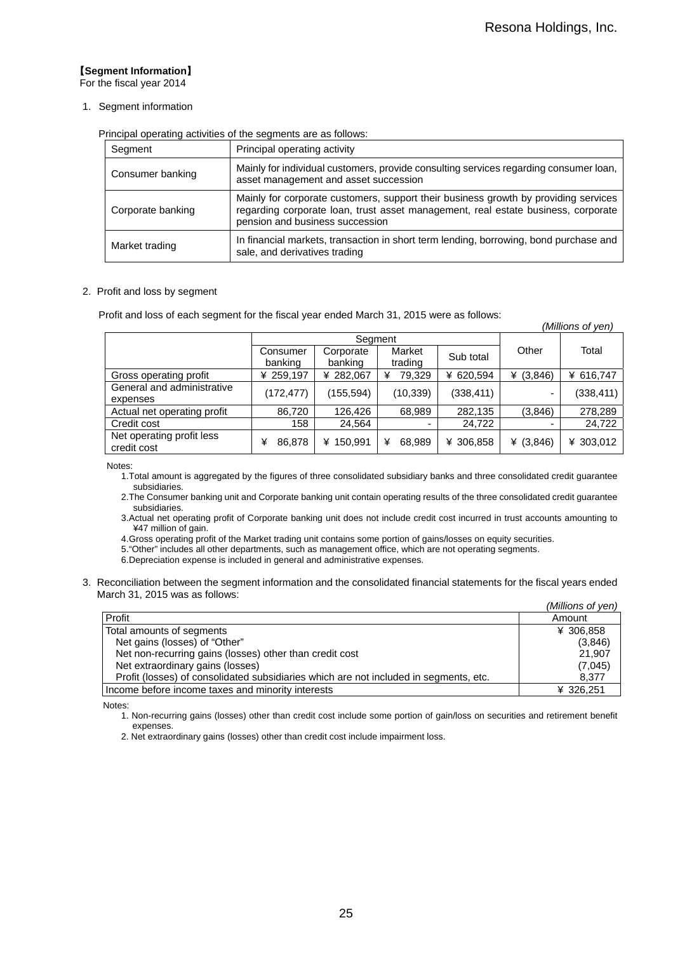*(Millions of yen)* 

### 【**Segment Information**】

For the fiscal year 2014

#### 1. Segment information

Principal operating activities of the segments are as follows:

| Segment           | Principal operating activity                                                                                                                                                                                |
|-------------------|-------------------------------------------------------------------------------------------------------------------------------------------------------------------------------------------------------------|
| Consumer banking  | Mainly for individual customers, provide consulting services regarding consumer loan,<br>asset management and asset succession                                                                              |
| Corporate banking | Mainly for corporate customers, support their business growth by providing services<br>regarding corporate loan, trust asset management, real estate business, corporate<br>pension and business succession |
| Market trading    | In financial markets, transaction in short term lending, borrowing, bond purchase and<br>sale, and derivatives trading                                                                                      |

#### 2. Profit and loss by segment

Profit and loss of each segment for the fiscal year ended March 31, 2015 were as follows:

|                                          |                     |                      |                   |            |             | , , , , , , , , , , , , , , , , , , , |
|------------------------------------------|---------------------|----------------------|-------------------|------------|-------------|---------------------------------------|
|                                          | Seament             |                      |                   |            |             |                                       |
|                                          | Consumer<br>banking | Corporate<br>banking | Market<br>trading | Sub total  | Other       | Total                                 |
| Gross operating profit                   | ¥ 259,197           | ¥ 282,067            | 79.329<br>¥       | ¥ 620,594  | ¥ $(3,846)$ | ¥ 616,747                             |
| General and administrative<br>expenses   | (172, 477)          | (155,594)            | (10, 339)         | (338, 411) |             | (338, 411)                            |
| Actual net operating profit              | 86,720              | 126.426              | 68,989            | 282,135    | (3,846)     | 278,289                               |
| Credit cost                              | 158                 | 24,564               |                   | 24,722     |             | 24,722                                |
| Net operating profit less<br>credit cost | 86,878<br>¥         | ¥ 150,991            | 68,989<br>¥       | ¥ 306,858  | ¥ $(3,846)$ | ¥ 303,012                             |

Notes:

- 1. Total amount is aggregated by the figures of three consolidated subsidiary banks and three consolidated credit guarantee subsidiaries.
- 2. The Consumer banking unit and Corporate banking unit contain operating results of the three consolidated credit guarantee subsidiaries.
- 3. Actual net operating profit of Corporate banking unit does not include credit cost incurred in trust accounts amounting to ¥47 million of gain.

4. Gross operating profit of the Market trading unit contains some portion of gains/losses on equity securities.

- 5. "Other" includes all other departments, such as management office, which are not operating segments.
- 6. Depreciation expense is included in general and administrative expenses.
- 3. Reconciliation between the segment information and the consolidated financial statements for the fiscal years ended March 31, 2015 was as follows:

|                                                                                       | (Millions of yen) |
|---------------------------------------------------------------------------------------|-------------------|
| Profit                                                                                | Amount            |
| Total amounts of segments                                                             | ¥ 306.858         |
| Net gains (losses) of "Other"                                                         | (3,846)           |
| Net non-recurring gains (losses) other than credit cost                               | 21.907            |
| Net extraordinary gains (losses)                                                      | (7,045)           |
| Profit (losses) of consolidated subsidiaries which are not included in segments, etc. | 8.377             |
| Income before income taxes and minority interests                                     | ¥ 326,251         |

Notes:

1. Non-recurring gains (losses) other than credit cost include some portion of gain/loss on securities and retirement benefit expenses.

2. Net extraordinary gains (losses) other than credit cost include impairment loss.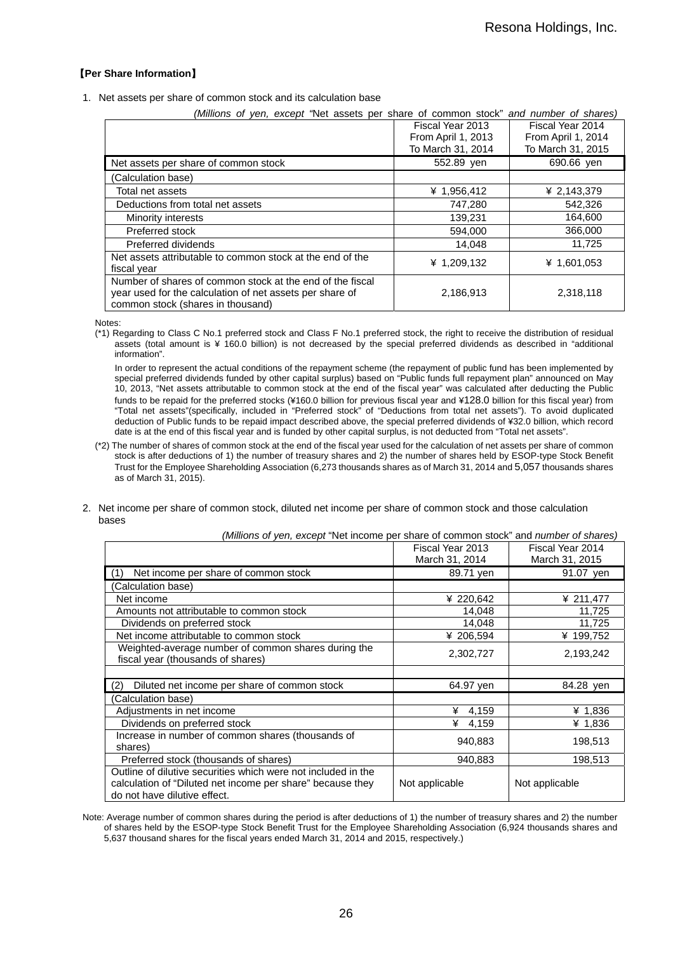### 【**Per Share Information**】

1. Net assets per share of common stock and its calculation base

| (Millions of yen, except 'Net assets per share of common stock" and number of shares) |                    |                    |
|---------------------------------------------------------------------------------------|--------------------|--------------------|
|                                                                                       | Fiscal Year 2013   | Fiscal Year 2014   |
|                                                                                       | From April 1, 2013 | From April 1, 2014 |
|                                                                                       | To March 31, 2014  | To March 31, 2015  |
| Net assets per share of common stock                                                  | 552.89 ven         | 690.66 yen         |
| (Calculation base)                                                                    |                    |                    |
| Total net assets                                                                      | ¥ 1,956,412        | ¥ 2,143,379        |
| Deductions from total net assets                                                      | 747,280            | 542,326            |
| Minority interests                                                                    | 139,231            | 164,600            |
| Preferred stock                                                                       | 594,000            | 366,000            |
| Preferred dividends                                                                   | 14,048             | 11,725             |
| Net assets attributable to common stock at the end of the                             | ¥ 1,209,132        | ¥ 1,601,053        |
| fiscal year                                                                           |                    |                    |
| Number of shares of common stock at the end of the fiscal                             |                    |                    |
| year used for the calculation of net assets per share of                              | 2,186,913          | 2,318,118          |
| common stock (shares in thousand)                                                     |                    |                    |

Notes:

(\*1) Regarding to Class C No.1 preferred stock and Class F No.1 preferred stock, the right to receive the distribution of residual assets (total amount is ¥ 160.0 billion) is not decreased by the special preferred dividends as described in "additional information".

In order to represent the actual conditions of the repayment scheme (the repayment of public fund has been implemented by special preferred dividends funded by other capital surplus) based on "Public funds full repayment plan" announced on May 10, 2013, "Net assets attributable to common stock at the end of the fiscal year" was calculated after deducting the Public funds to be repaid for the preferred stocks (¥160.0 billion for previous fiscal year and ¥128.0 billion for this fiscal year) from "Total net assets"(specifically, included in "Preferred stock" of "Deductions from total net assets"). To avoid duplicated deduction of Public funds to be repaid impact described above, the special preferred dividends of ¥32.0 billion, which record date is at the end of this fiscal year and is funded by other capital surplus, is not deducted from "Total net assets".

- (\*2) The number of shares of common stock at the end of the fiscal year used for the calculation of net assets per share of common stock is after deductions of 1) the number of treasury shares and 2) the number of shares held by ESOP-type Stock Benefit Trust for the Employee Shareholding Association (6,273 thousands shares as of March 31, 2014 and 5,057 thousands shares as of March 31, 2015).
- 2. Net income per share of common stock, diluted net income per share of common stock and those calculation bases

|                                                                                                                                                             | Fiscal Year 2013<br>March 31, 2014 | Fiscal Year 2014<br>March 31, 2015 |
|-------------------------------------------------------------------------------------------------------------------------------------------------------------|------------------------------------|------------------------------------|
| Net income per share of common stock<br>(1)                                                                                                                 | 89.71 yen                          | 91.07 yen                          |
| Calculation base)                                                                                                                                           |                                    |                                    |
| Net income                                                                                                                                                  | ¥ 220,642                          | ¥ 211,477                          |
| Amounts not attributable to common stock                                                                                                                    | 14,048                             | 11,725                             |
| Dividends on preferred stock                                                                                                                                | 14,048                             | 11,725                             |
| Net income attributable to common stock                                                                                                                     | ¥ 206,594                          | ¥ 199,752                          |
| Weighted-average number of common shares during the<br>fiscal year (thousands of shares)                                                                    | 2,302,727                          | 2,193,242                          |
|                                                                                                                                                             |                                    |                                    |
| Diluted net income per share of common stock<br>(2)                                                                                                         | 64.97 yen                          | 84.28 ven                          |
| (Calculation base)                                                                                                                                          |                                    |                                    |
| Adjustments in net income                                                                                                                                   | ¥<br>4,159                         | ¥ 1,836                            |
| Dividends on preferred stock                                                                                                                                | ¥<br>4,159                         | ¥ 1,836                            |
| Increase in number of common shares (thousands of<br>shares)                                                                                                | 940,883                            | 198,513                            |
| Preferred stock (thousands of shares)                                                                                                                       | 940,883                            | 198,513                            |
| Outline of dilutive securities which were not included in the<br>calculation of "Diluted net income per share" because they<br>do not have dilutive effect. | Not applicable                     | Not applicable                     |

*(Millions of yen, except* "Net income per share of common stock" and *number of shares)* 

Note: Average number of common shares during the period is after deductions of 1) the number of treasury shares and 2) the number of shares held by the ESOP-type Stock Benefit Trust for the Employee Shareholding Association (6,924 thousands shares and 5,637 thousand shares for the fiscal years ended March 31, 2014 and 2015, respectively.)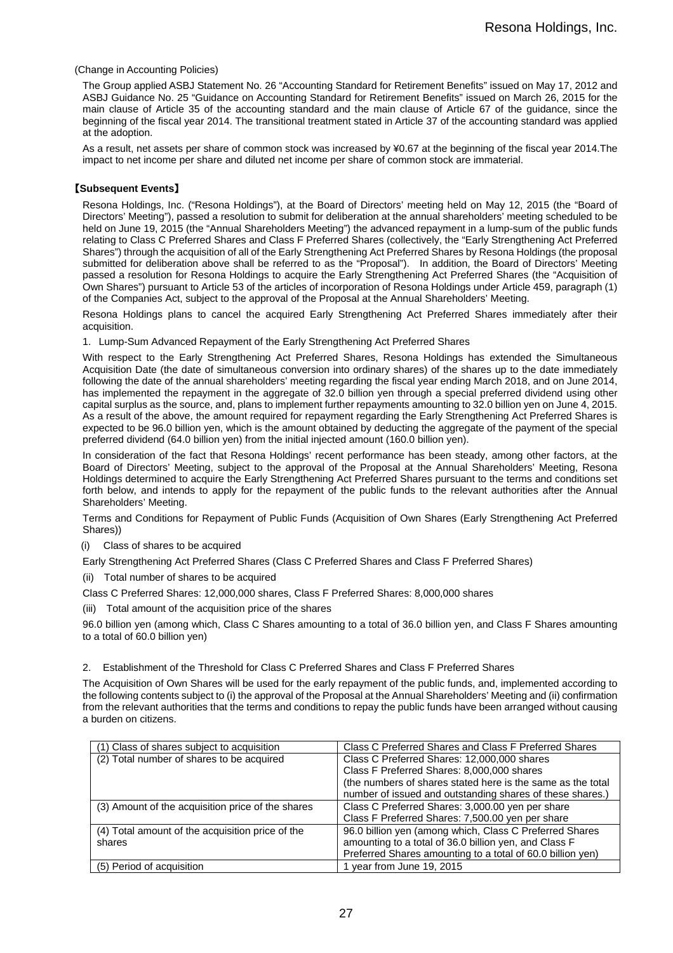#### (Change in Accounting Policies)

The Group applied ASBJ Statement No. 26 "Accounting Standard for Retirement Benefits" issued on May 17, 2012 and ASBJ Guidance No. 25 "Guidance on Accounting Standard for Retirement Benefits" issued on March 26, 2015 for the main clause of Article 35 of the accounting standard and the main clause of Article 67 of the guidance, since the beginning of the fiscal year 2014. The transitional treatment stated in Article 37 of the accounting standard was applied at the adoption.

As a result, net assets per share of common stock was increased by ¥0.67 at the beginning of the fiscal year 2014.The impact to net income per share and diluted net income per share of common stock are immaterial.

#### 【**Subsequent Events**】

Resona Holdings, Inc. ("Resona Holdings"), at the Board of Directors' meeting held on May 12, 2015 (the "Board of Directors' Meeting"), passed a resolution to submit for deliberation at the annual shareholders' meeting scheduled to be held on June 19, 2015 (the "Annual Shareholders Meeting") the advanced repayment in a lump-sum of the public funds relating to Class C Preferred Shares and Class F Preferred Shares (collectively, the "Early Strengthening Act Preferred Shares") through the acquisition of all of the Early Strengthening Act Preferred Shares by Resona Holdings (the proposal submitted for deliberation above shall be referred to as the "Proposal"). In addition, the Board of Directors' Meeting passed a resolution for Resona Holdings to acquire the Early Strengthening Act Preferred Shares (the "Acquisition of Own Shares") pursuant to Article 53 of the articles of incorporation of Resona Holdings under Article 459, paragraph (1) of the Companies Act, subject to the approval of the Proposal at the Annual Shareholders' Meeting.

Resona Holdings plans to cancel the acquired Early Strengthening Act Preferred Shares immediately after their acquisition.

1. Lump-Sum Advanced Repayment of the Early Strengthening Act Preferred Shares

With respect to the Early Strengthening Act Preferred Shares, Resona Holdings has extended the Simultaneous Acquisition Date (the date of simultaneous conversion into ordinary shares) of the shares up to the date immediately following the date of the annual shareholders' meeting regarding the fiscal year ending March 2018, and on June 2014, has implemented the repayment in the aggregate of 32.0 billion yen through a special preferred dividend using other capital surplus as the source, and, plans to implement further repayments amounting to 32.0 billion yen on June 4, 2015. As a result of the above, the amount required for repayment regarding the Early Strengthening Act Preferred Shares is expected to be 96.0 billion yen, which is the amount obtained by deducting the aggregate of the payment of the special preferred dividend (64.0 billion yen) from the initial injected amount (160.0 billion yen).

In consideration of the fact that Resona Holdings' recent performance has been steady, among other factors, at the Board of Directors' Meeting, subject to the approval of the Proposal at the Annual Shareholders' Meeting, Resona Holdings determined to acquire the Early Strengthening Act Preferred Shares pursuant to the terms and conditions set forth below, and intends to apply for the repayment of the public funds to the relevant authorities after the Annual Shareholders' Meeting.

Terms and Conditions for Repayment of Public Funds (Acquisition of Own Shares (Early Strengthening Act Preferred Shares))

(i) Class of shares to be acquired

Early Strengthening Act Preferred Shares (Class C Preferred Shares and Class F Preferred Shares)

- (ii) Total number of shares to be acquired
- Class C Preferred Shares: 12,000,000 shares, Class F Preferred Shares: 8,000,000 shares
- (iii) Total amount of the acquisition price of the shares

96.0 billion yen (among which, Class C Shares amounting to a total of 36.0 billion yen, and Class F Shares amounting to a total of 60.0 billion yen)

2. Establishment of the Threshold for Class C Preferred Shares and Class F Preferred Shares

The Acquisition of Own Shares will be used for the early repayment of the public funds, and, implemented according to the following contents subject to (i) the approval of the Proposal at the Annual Shareholders' Meeting and (ii) confirmation from the relevant authorities that the terms and conditions to repay the public funds have been arranged without causing a burden on citizens.

| (1) Class of shares subject to acquisition        | Class C Preferred Shares and Class F Preferred Shares       |
|---------------------------------------------------|-------------------------------------------------------------|
| (2) Total number of shares to be acquired         | Class C Preferred Shares: 12,000,000 shares                 |
|                                                   | Class F Preferred Shares: 8,000,000 shares                  |
|                                                   | (the numbers of shares stated here is the same as the total |
|                                                   | number of issued and outstanding shares of these shares.)   |
| (3) Amount of the acquisition price of the shares | Class C Preferred Shares: 3,000.00 yen per share            |
|                                                   | Class F Preferred Shares: 7,500.00 yen per share            |
| (4) Total amount of the acquisition price of the  | 96.0 billion yen (among which, Class C Preferred Shares     |
| shares                                            | amounting to a total of 36.0 billion yen, and Class F       |
|                                                   | Preferred Shares amounting to a total of 60.0 billion yen)  |
| (5) Period of acquisition                         | 1 year from June 19, 2015                                   |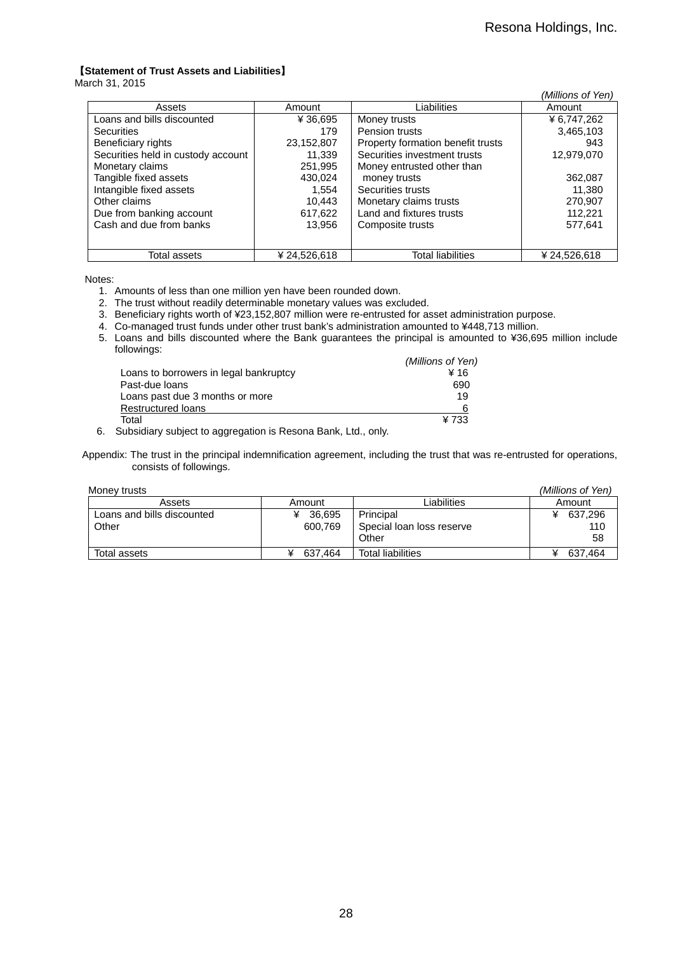### 【**Statement of Trust Assets and Liabilities**】

March 31, 2015

|                                    |             |                                   | (Millions of Yen) |
|------------------------------------|-------------|-----------------------------------|-------------------|
| Assets                             | Amount      | Liabilities                       | Amount            |
| Loans and bills discounted         | ¥ 36,695    | Money trusts                      | ¥ 6,747,262       |
| <b>Securities</b>                  | 179         | Pension trusts                    | 3,465,103         |
| Beneficiary rights                 | 23,152,807  | Property formation benefit trusts | 943               |
| Securities held in custody account | 11.339      | Securities investment trusts      | 12,979,070        |
| Monetary claims                    | 251,995     | Money entrusted other than        |                   |
| Tangible fixed assets              | 430.024     | money trusts                      | 362.087           |
| Intangible fixed assets            | 1.554       | Securities trusts                 | 11.380            |
| Other claims                       | 10.443      | Monetary claims trusts            | 270,907           |
| Due from banking account           | 617,622     | Land and fixtures trusts          | 112,221           |
| Cash and due from banks            | 13.956      | Composite trusts                  | 577,641           |
|                                    |             |                                   |                   |
| Total assets                       | ¥24.526.618 | <b>Total liabilities</b>          | ¥ 24.526.618      |

Notes:

- 1. Amounts of less than one million yen have been rounded down.
- 2. The trust without readily determinable monetary values was excluded.
- 3. Beneficiary rights worth of ¥23,152,807 million were re-entrusted for asset administration purpose.
- 4. Co-managed trust funds under other trust bank's administration amounted to ¥448,713 million.
- 5. Loans and bills discounted where the Bank guarantees the principal is amounted to ¥36,695 million include followings:

|                                        | (Millions of Yen) |
|----------------------------------------|-------------------|
| Loans to borrowers in legal bankruptcy | ¥ 16              |
| Past-due loans                         | 690               |
| Loans past due 3 months or more        | 19                |
| <b>Restructured loans</b>              | 6                 |
| Total                                  | ¥733              |

6. Subsidiary subject to aggregation is Resona Bank, Ltd., only.

Appendix: The trust in the principal indemnification agreement, including the trust that was re-entrusted for operations, consists of followings.

| Money trusts               |          |                           | (Millions of Yen) |
|----------------------------|----------|---------------------------|-------------------|
| Assets                     | Amount   | ∟iabilities               | Amount            |
| Loans and bills discounted | ¥ 36,695 | Principal                 | 637,296<br>¥      |
| Other                      | 600.769  | Special loan loss reserve | 110               |
|                            |          | Other                     | 58                |
| Total assets               | 637.464  | <b>Total liabilities</b>  | 637.464           |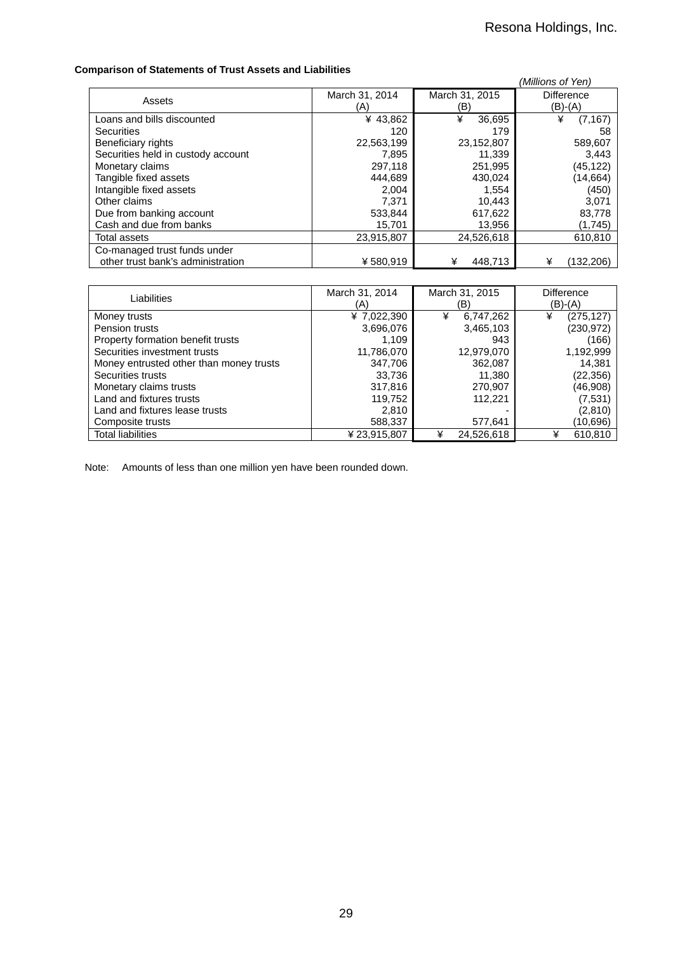### **Comparison of Statements of Trust Assets and Liabilities**

| panson or otatomonts or mast Associs and Elabimtos |                       |                       | (Millions of Yen)            |
|----------------------------------------------------|-----------------------|-----------------------|------------------------------|
| Assets                                             | March 31, 2014<br>(A) | March 31, 2015<br>(B) | <b>Difference</b><br>(B)-(A) |
| Loans and bills discounted                         | ¥43,862               | ¥<br>36,695           | ¥<br>(7, 167)                |
| <b>Securities</b>                                  | 120                   | 179                   | 58                           |
| Beneficiary rights                                 | 22,563,199            | 23,152,807            | 589,607                      |
| Securities held in custody account                 | 7,895                 | 11,339                | 3,443                        |
| Monetary claims                                    | 297,118               | 251,995               | (45,122)                     |
| Tangible fixed assets                              | 444.689               | 430.024               | (14, 664)                    |
| Intangible fixed assets                            | 2.004                 | 1,554                 | (450)                        |
| Other claims                                       | 7.371                 | 10,443                | 3,071                        |
| Due from banking account                           | 533,844               | 617,622               | 83,778                       |
| Cash and due from banks                            | 15,701                | 13,956                | (1,745)                      |
| Total assets                                       | 23,915,807            | 24.526.618            | 610,810                      |
| Co-managed trust funds under                       |                       |                       |                              |
| other trust bank's administration                  | ¥580.919              | ¥<br>448,713          | (132,206)<br>¥               |

| Liabilities                             | March 31, 2014<br>(A) | March 31, 2015<br>(B) | Difference<br>$(B)-(A)$ |
|-----------------------------------------|-----------------------|-----------------------|-------------------------|
| Money trusts                            | ¥ 7,022,390           | 6,747,262<br>¥        | (275, 127)<br>¥         |
| Pension trusts                          | 3,696,076             | 3,465,103             | (230,972)               |
| Property formation benefit trusts       | 1.109                 | 943                   | (166)                   |
| Securities investment trusts            | 11,786,070            | 12,979,070            | 1,192,999               |
| Money entrusted other than money trusts | 347,706               | 362,087               | 14.381                  |
| Securities trusts                       | 33,736                | 11,380                | (22,356)                |
| Monetary claims trusts                  | 317,816               | 270,907               | (46,908)                |
| Land and fixtures trusts                | 119.752               | 112.221               | (7, 531)                |
| Land and fixtures lease trusts          | 2,810                 |                       | (2,810)                 |
| Composite trusts                        | 588,337               | 577,641               | (10,696)                |
| <b>Total liabilities</b>                | ¥ 23,915,807          | 24,526,618<br>¥       | 610,810<br>¥            |

Note: Amounts of less than one million yen have been rounded down.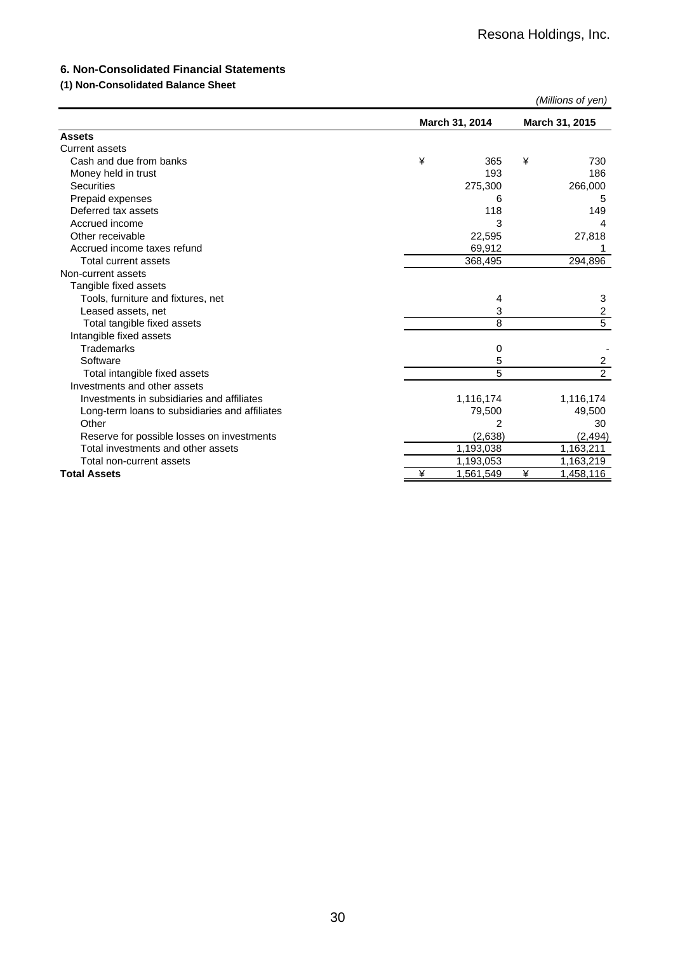## **6. Non-Consolidated Financial Statements**

## **(1) Non-Consolidated Balance Sheet**

|                                                |   |                |                | (Millions of yen)       |
|------------------------------------------------|---|----------------|----------------|-------------------------|
|                                                |   | March 31, 2014 | March 31, 2015 |                         |
| <b>Assets</b>                                  |   |                |                |                         |
| <b>Current assets</b>                          |   |                |                |                         |
| Cash and due from banks                        | ¥ | 365            | ¥              | 730                     |
| Money held in trust                            |   | 193            |                | 186                     |
| <b>Securities</b>                              |   | 275,300        |                | 266,000                 |
| Prepaid expenses                               |   | 6              |                | 5                       |
| Deferred tax assets                            |   | 118            |                | 149                     |
| Accrued income                                 |   | 3              |                | 4                       |
| Other receivable                               |   | 22,595         |                | 27,818                  |
| Accrued income taxes refund                    |   | 69,912         |                |                         |
| Total current assets                           |   | 368,495        |                | 294,896                 |
| Non-current assets                             |   |                |                |                         |
| Tangible fixed assets                          |   |                |                |                         |
| Tools, furniture and fixtures, net             |   | 4              |                | 3                       |
| Leased assets, net                             |   | 3              |                | $\overline{\mathbf{c}}$ |
| Total tangible fixed assets                    |   | 8              |                | $\overline{5}$          |
| Intangible fixed assets                        |   |                |                |                         |
| <b>Trademarks</b>                              |   | 0              |                |                         |
| Software                                       |   | 5              |                | $\overline{a}$          |
| Total intangible fixed assets                  |   | 5              |                | $\overline{2}$          |
| Investments and other assets                   |   |                |                |                         |
| Investments in subsidiaries and affiliates     |   | 1,116,174      |                | 1,116,174               |
| Long-term loans to subsidiaries and affiliates |   | 79,500         |                | 49,500                  |
| Other                                          |   | 2              |                | 30                      |
| Reserve for possible losses on investments     |   | (2,638)        |                | (2, 494)                |
| Total investments and other assets             |   | 1,193,038      |                | 1,163,211               |
| Total non-current assets                       |   | 1,193,053      |                | 1,163,219               |
| <b>Total Assets</b>                            | ¥ | 1,561,549      | ¥              | 1,458,116               |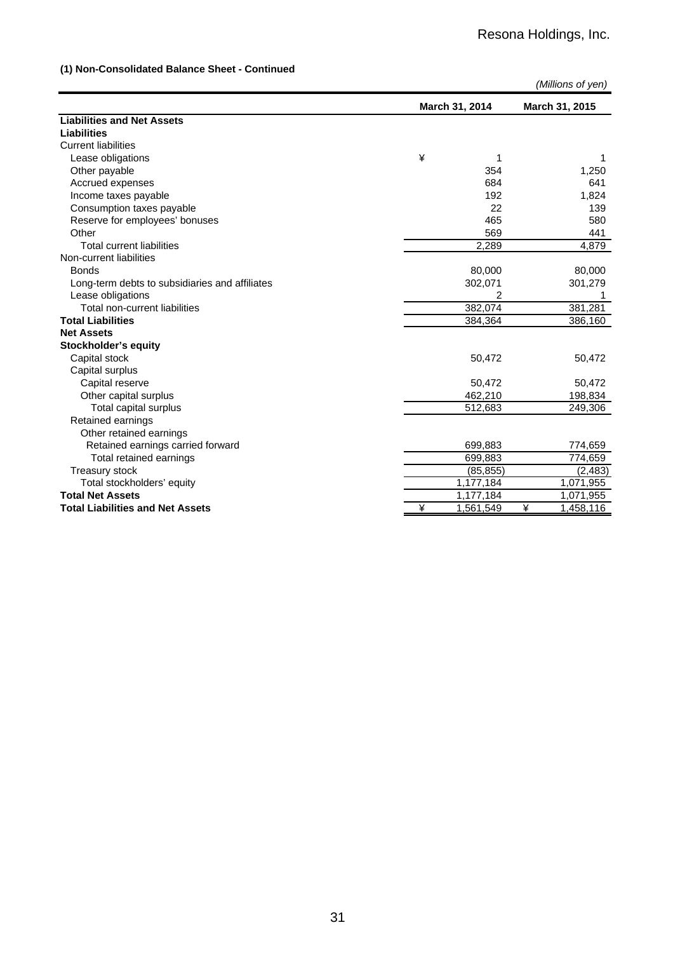## **(1) Non-Consolidated Balance Sheet - Continued**

|                                                |   |                |   | (Millions of yen) |
|------------------------------------------------|---|----------------|---|-------------------|
|                                                |   | March 31, 2014 |   | March 31, 2015    |
| <b>Liabilities and Net Assets</b>              |   |                |   |                   |
| <b>Liabilities</b>                             |   |                |   |                   |
| <b>Current liabilities</b>                     |   |                |   |                   |
| Lease obligations                              | ¥ | 1              |   |                   |
| Other payable                                  |   | 354            |   | 1,250             |
| Accrued expenses                               |   | 684            |   | 641               |
| Income taxes payable                           |   | 192            |   | 1,824             |
| Consumption taxes payable                      |   | 22             |   | 139               |
| Reserve for employees' bonuses                 |   | 465            |   | 580               |
| Other                                          |   | 569            |   | 441               |
| <b>Total current liabilities</b>               |   | 2,289          |   | 4,879             |
| Non-current liabilities                        |   |                |   |                   |
| <b>Bonds</b>                                   |   | 80,000         |   | 80,000            |
| Long-term debts to subsidiaries and affiliates |   | 302,071        |   | 301,279           |
| Lease obligations                              |   | 2              |   |                   |
| Total non-current liabilities                  |   | 382,074        |   | 381,281           |
| <b>Total Liabilities</b>                       |   | 384,364        |   | 386,160           |
| <b>Net Assets</b>                              |   |                |   |                   |
| Stockholder's equity                           |   |                |   |                   |
| Capital stock                                  |   | 50,472         |   | 50,472            |
| Capital surplus                                |   |                |   |                   |
| Capital reserve                                |   | 50,472         |   | 50,472            |
| Other capital surplus                          |   | 462,210        |   | 198,834           |
| Total capital surplus                          |   | 512,683        |   | 249,306           |
| Retained earnings                              |   |                |   |                   |
| Other retained earnings                        |   |                |   |                   |
| Retained earnings carried forward              |   | 699,883        |   | 774,659           |
| Total retained earnings                        |   | 699,883        |   | 774,659           |
| <b>Treasury stock</b>                          |   | (85, 855)      |   | (2, 483)          |
| Total stockholders' equity                     |   | 1,177,184      |   | 1,071,955         |
| <b>Total Net Assets</b>                        |   | 1,177,184      |   | 1,071,955         |
| <b>Total Liabilities and Net Assets</b>        | ¥ | 1,561,549      | ¥ | 1,458,116         |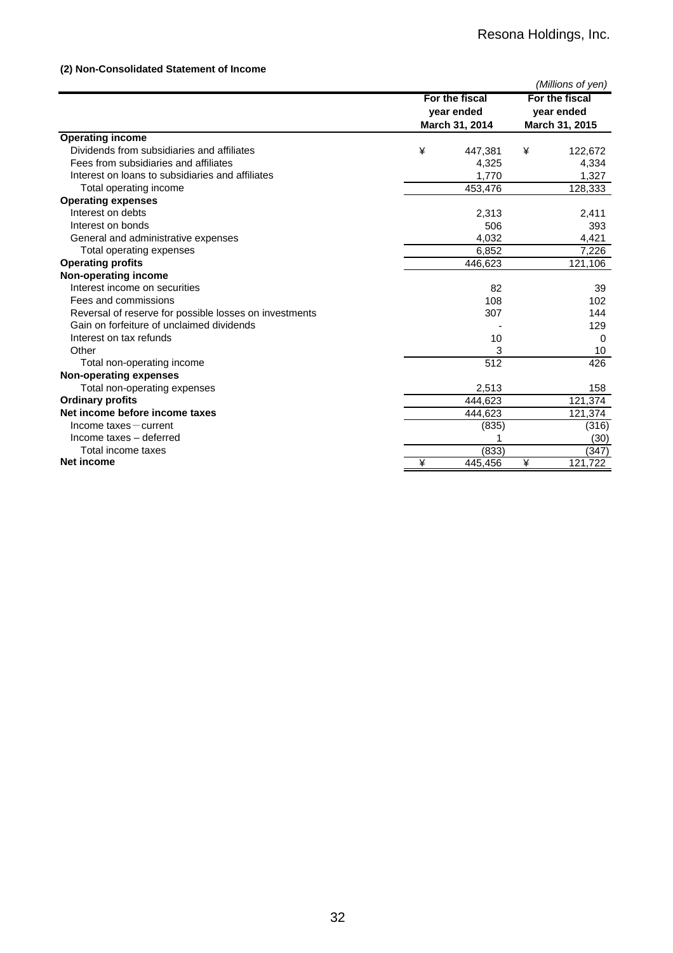## **(2) Non-Consolidated Statement of Income**

|                                                        |   |                |                                                | (Millions of yen) |
|--------------------------------------------------------|---|----------------|------------------------------------------------|-------------------|
|                                                        |   | For the fiscal | For the fiscal<br>year ended<br>March 31, 2015 |                   |
|                                                        |   | year ended     |                                                |                   |
|                                                        |   | March 31, 2014 |                                                |                   |
| <b>Operating income</b>                                |   |                |                                                |                   |
| Dividends from subsidiaries and affiliates             | ¥ | 447,381        | ¥                                              | 122,672           |
| Fees from subsidiaries and affiliates                  |   | 4,325          |                                                | 4,334             |
| Interest on loans to subsidiaries and affiliates       |   | 1,770          |                                                | 1,327             |
| Total operating income                                 |   | 453,476        |                                                | 128,333           |
| <b>Operating expenses</b>                              |   |                |                                                |                   |
| Interest on debts                                      |   | 2,313          |                                                | 2,411             |
| Interest on bonds                                      |   | 506            |                                                | 393               |
| General and administrative expenses                    |   | 4,032          |                                                | 4,421             |
| Total operating expenses                               |   | 6,852          |                                                | 7,226             |
| <b>Operating profits</b>                               |   | 446,623        |                                                | 121,106           |
| Non-operating income                                   |   |                |                                                |                   |
| Interest income on securities                          |   | 82             |                                                | 39                |
| Fees and commissions                                   |   | 108            |                                                | 102               |
| Reversal of reserve for possible losses on investments |   | 307            |                                                | 144               |
| Gain on forfeiture of unclaimed dividends              |   |                |                                                | 129               |
| Interest on tax refunds                                |   | 10             |                                                | 0                 |
| Other                                                  |   | 3              |                                                | 10                |
| Total non-operating income                             |   | 512            |                                                | 426               |
| <b>Non-operating expenses</b>                          |   |                |                                                |                   |
| Total non-operating expenses                           |   | 2,513          |                                                | 158               |
| <b>Ordinary profits</b>                                |   | 444,623        |                                                | 121,374           |
| Net income before income taxes                         |   | 444,623        |                                                | 121,374           |
| $Income$ taxes $-$ current                             |   | (835)          |                                                | (316)             |
| Income taxes - deferred                                |   |                |                                                | (30)              |
| Total income taxes                                     |   | (833)          |                                                | (347)             |
| Net income                                             | ¥ | 445,456        | ¥                                              | 121,722           |